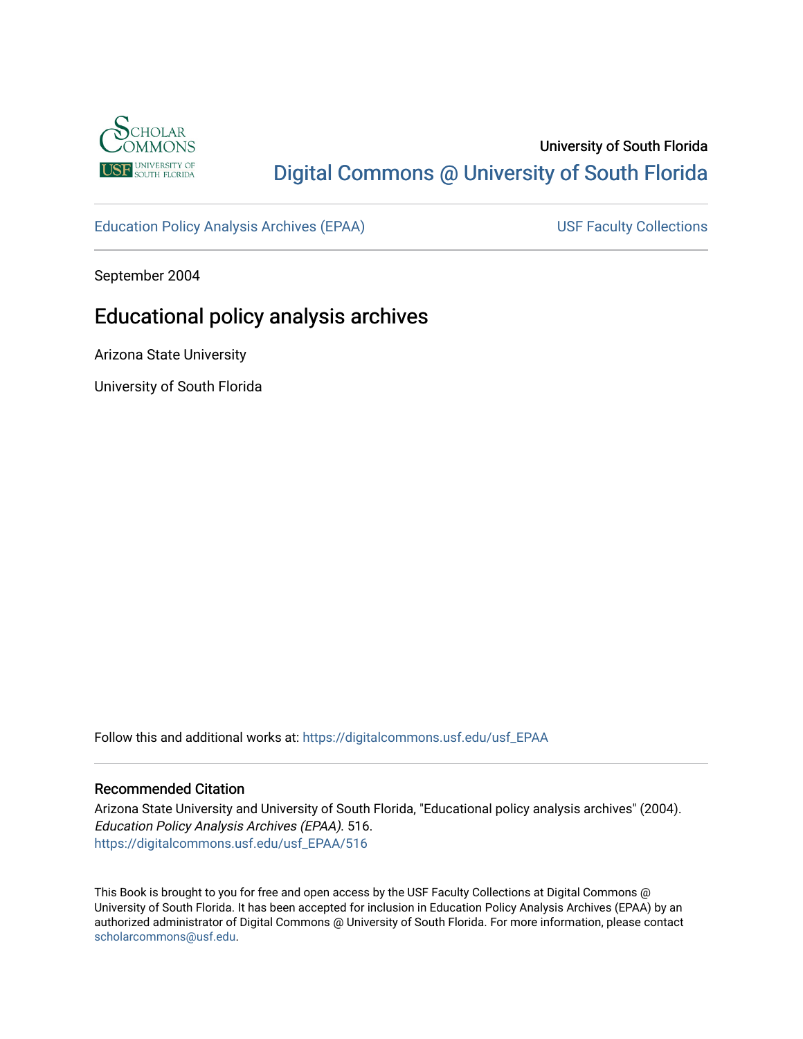

## University of South Florida [Digital Commons @ University of South Florida](https://digitalcommons.usf.edu/)

[Education Policy Analysis Archives \(EPAA\)](https://digitalcommons.usf.edu/usf_EPAA) USF Faculty Collections

September 2004

# Educational policy analysis archives

Arizona State University

University of South Florida

Follow this and additional works at: [https://digitalcommons.usf.edu/usf\\_EPAA](https://digitalcommons.usf.edu/usf_EPAA?utm_source=digitalcommons.usf.edu%2Fusf_EPAA%2F516&utm_medium=PDF&utm_campaign=PDFCoverPages)

#### Recommended Citation

Arizona State University and University of South Florida, "Educational policy analysis archives" (2004). Education Policy Analysis Archives (EPAA). 516. [https://digitalcommons.usf.edu/usf\\_EPAA/516](https://digitalcommons.usf.edu/usf_EPAA/516?utm_source=digitalcommons.usf.edu%2Fusf_EPAA%2F516&utm_medium=PDF&utm_campaign=PDFCoverPages)

This Book is brought to you for free and open access by the USF Faculty Collections at Digital Commons @ University of South Florida. It has been accepted for inclusion in Education Policy Analysis Archives (EPAA) by an authorized administrator of Digital Commons @ University of South Florida. For more information, please contact [scholarcommons@usf.edu.](mailto:scholarcommons@usf.edu)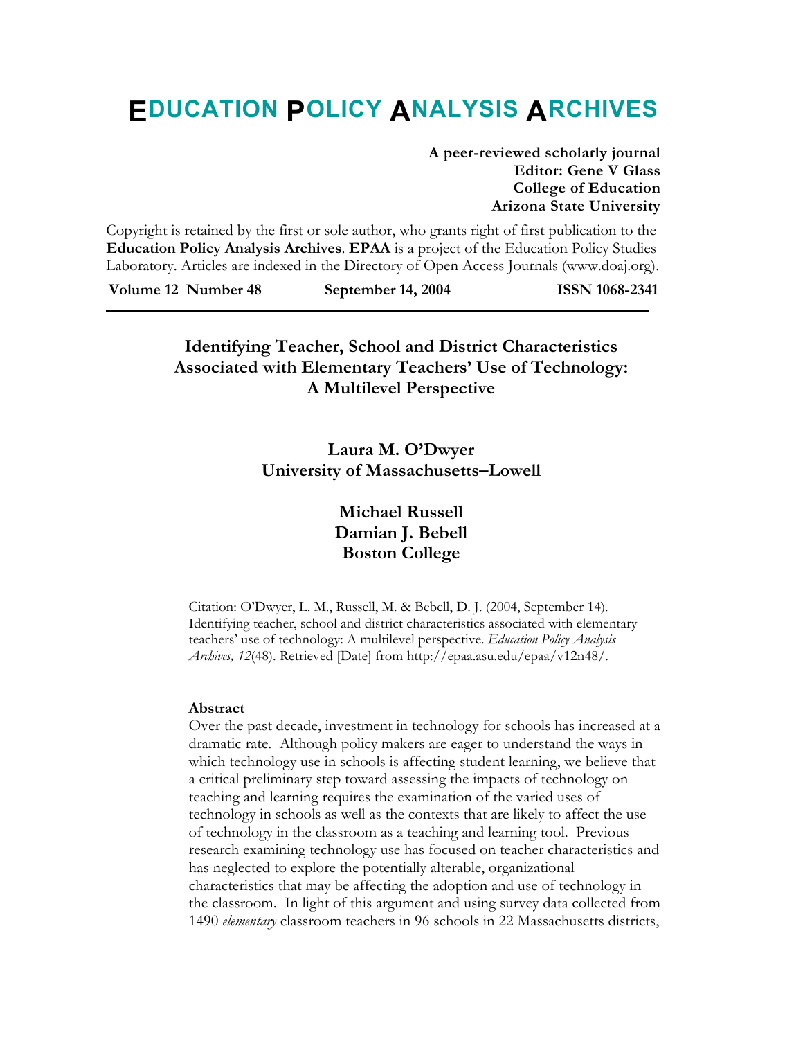# **EDUCATION POLICY ANALYSIS ARCHIVES**

**A peer-reviewed scholarly journal Editor: Gene V Glass College of Education Arizona State University** 

Copyright is retained by the first or sole author, who grants right of first publication to the **Education Policy Analysis Archives**. **EPAA** is a project of the Education Policy Studies Laboratory. Articles are indexed in the Directory of Open Access Journals (www.doaj.org).

**Volume 12 Number 48 September 14, 2004 ISSN 1068-2341** 

## **Identifying Teacher, School and District Characteristics Associated with Elementary Teachers' Use of Technology: A Multilevel Perspective**

**Laura M. O'Dwyer University of Massachusetts–Lowell** 

> **Michael Russell Damian J. Bebell Boston College**

Citation: O'Dwyer, L. M., Russell, M. & Bebell, D. J. (2004, September 14). Identifying teacher, school and district characteristics associated with elementary teachers' use of technology: A multilevel perspective. *Education Policy Analysis Archives, 12*(48). Retrieved [Date] from http://epaa.asu.edu/epaa/v12n48/.

#### **Abstract**

Over the past decade, investment in technology for schools has increased at a dramatic rate. Although policy makers are eager to understand the ways in which technology use in schools is affecting student learning, we believe that a critical preliminary step toward assessing the impacts of technology on teaching and learning requires the examination of the varied uses of technology in schools as well as the contexts that are likely to affect the use of technology in the classroom as a teaching and learning tool. Previous research examining technology use has focused on teacher characteristics and has neglected to explore the potentially alterable, organizational characteristics that may be affecting the adoption and use of technology in the classroom. In light of this argument and using survey data collected from 1490 *elementary* classroom teachers in 96 schools in 22 Massachusetts districts,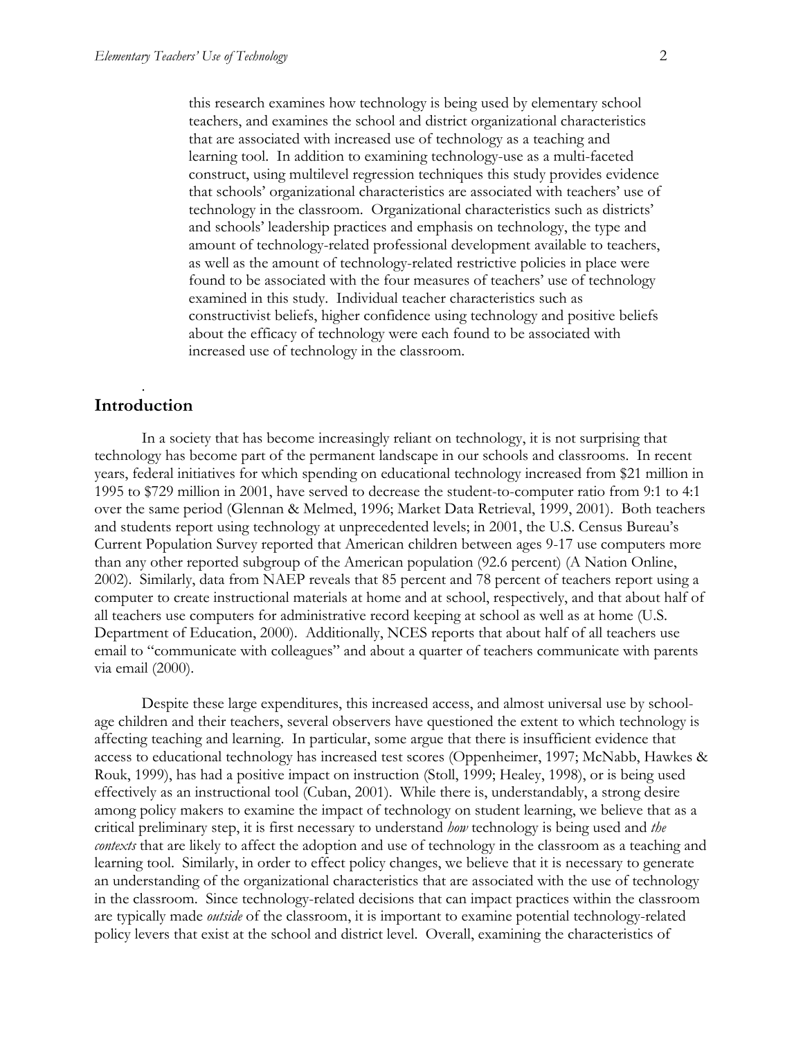this research examines how technology is being used by elementary school teachers, and examines the school and district organizational characteristics that are associated with increased use of technology as a teaching and learning tool. In addition to examining technology-use as a multi-faceted construct, using multilevel regression techniques this study provides evidence that schools' organizational characteristics are associated with teachers' use of technology in the classroom. Organizational characteristics such as districts' and schools' leadership practices and emphasis on technology, the type and amount of technology-related professional development available to teachers, as well as the amount of technology-related restrictive policies in place were found to be associated with the four measures of teachers' use of technology examined in this study. Individual teacher characteristics such as constructivist beliefs, higher confidence using technology and positive beliefs about the efficacy of technology were each found to be associated with increased use of technology in the classroom.

#### . **Introduction**

In a society that has become increasingly reliant on technology, it is not surprising that technology has become part of the permanent landscape in our schools and classrooms. In recent years, federal initiatives for which spending on educational technology increased from \$21 million in 1995 to \$729 million in 2001, have served to decrease the student-to-computer ratio from 9:1 to 4:1 over the same period (Glennan & Melmed, 1996; Market Data Retrieval, 1999, 2001). Both teachers and students report using technology at unprecedented levels; in 2001, the U.S. Census Bureau's Current Population Survey reported that American children between ages 9-17 use computers more than any other reported subgroup of the American population (92.6 percent) (A Nation Online, 2002). Similarly, data from NAEP reveals that 85 percent and 78 percent of teachers report using a computer to create instructional materials at home and at school, respectively, and that about half of all teachers use computers for administrative record keeping at school as well as at home (U.S. Department of Education, 2000). Additionally, NCES reports that about half of all teachers use email to "communicate with colleagues" and about a quarter of teachers communicate with parents via email (2000).

Despite these large expenditures, this increased access, and almost universal use by schoolage children and their teachers, several observers have questioned the extent to which technology is affecting teaching and learning. In particular, some argue that there is insufficient evidence that access to educational technology has increased test scores (Oppenheimer, 1997; McNabb, Hawkes & Rouk, 1999), has had a positive impact on instruction (Stoll, 1999; Healey, 1998), or is being used effectively as an instructional tool (Cuban, 2001). While there is, understandably, a strong desire among policy makers to examine the impact of technology on student learning, we believe that as a critical preliminary step, it is first necessary to understand *how* technology is being used and *the contexts* that are likely to affect the adoption and use of technology in the classroom as a teaching and learning tool. Similarly, in order to effect policy changes, we believe that it is necessary to generate an understanding of the organizational characteristics that are associated with the use of technology in the classroom. Since technology-related decisions that can impact practices within the classroom are typically made *outside* of the classroom, it is important to examine potential technology-related policy levers that exist at the school and district level. Overall, examining the characteristics of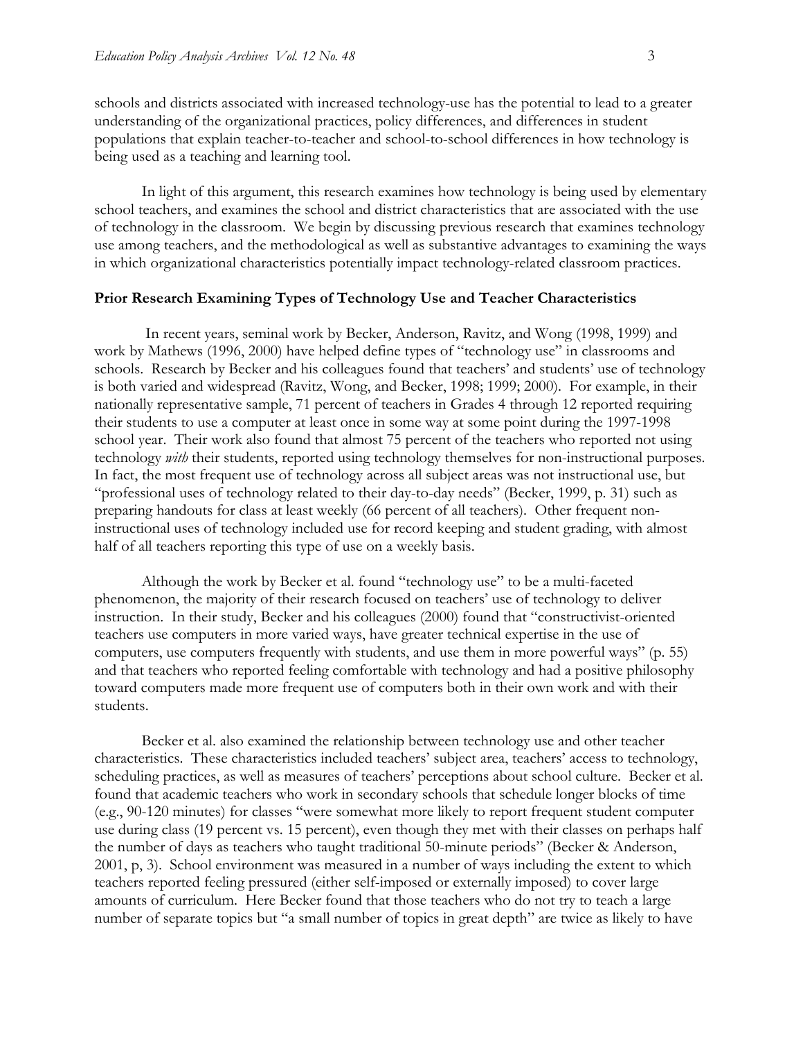schools and districts associated with increased technology-use has the potential to lead to a greater understanding of the organizational practices, policy differences, and differences in student populations that explain teacher-to-teacher and school-to-school differences in how technology is being used as a teaching and learning tool.

In light of this argument, this research examines how technology is being used by elementary school teachers, and examines the school and district characteristics that are associated with the use of technology in the classroom. We begin by discussing previous research that examines technology use among teachers, and the methodological as well as substantive advantages to examining the ways in which organizational characteristics potentially impact technology-related classroom practices.

#### **Prior Research Examining Types of Technology Use and Teacher Characteristics**

 In recent years, seminal work by Becker, Anderson, Ravitz, and Wong (1998, 1999) and work by Mathews (1996, 2000) have helped define types of "technology use" in classrooms and schools. Research by Becker and his colleagues found that teachers' and students' use of technology is both varied and widespread (Ravitz, Wong, and Becker, 1998; 1999; 2000). For example, in their nationally representative sample, 71 percent of teachers in Grades 4 through 12 reported requiring their students to use a computer at least once in some way at some point during the 1997-1998 school year. Their work also found that almost 75 percent of the teachers who reported not using technology *with* their students, reported using technology themselves for non-instructional purposes. In fact, the most frequent use of technology across all subject areas was not instructional use, but "professional uses of technology related to their day-to-day needs" (Becker, 1999, p. 31) such as preparing handouts for class at least weekly (66 percent of all teachers). Other frequent noninstructional uses of technology included use for record keeping and student grading, with almost half of all teachers reporting this type of use on a weekly basis.

Although the work by Becker et al. found "technology use" to be a multi-faceted phenomenon, the majority of their research focused on teachers' use of technology to deliver instruction. In their study, Becker and his colleagues (2000) found that "constructivist-oriented teachers use computers in more varied ways, have greater technical expertise in the use of computers, use computers frequently with students, and use them in more powerful ways" (p. 55) and that teachers who reported feeling comfortable with technology and had a positive philosophy toward computers made more frequent use of computers both in their own work and with their students.

Becker et al. also examined the relationship between technology use and other teacher characteristics. These characteristics included teachers' subject area, teachers' access to technology, scheduling practices, as well as measures of teachers' perceptions about school culture. Becker et al. found that academic teachers who work in secondary schools that schedule longer blocks of time (e.g., 90-120 minutes) for classes "were somewhat more likely to report frequent student computer use during class (19 percent vs. 15 percent), even though they met with their classes on perhaps half the number of days as teachers who taught traditional 50-minute periods" (Becker & Anderson, 2001, p, 3). School environment was measured in a number of ways including the extent to which teachers reported feeling pressured (either self-imposed or externally imposed) to cover large amounts of curriculum. Here Becker found that those teachers who do not try to teach a large number of separate topics but "a small number of topics in great depth" are twice as likely to have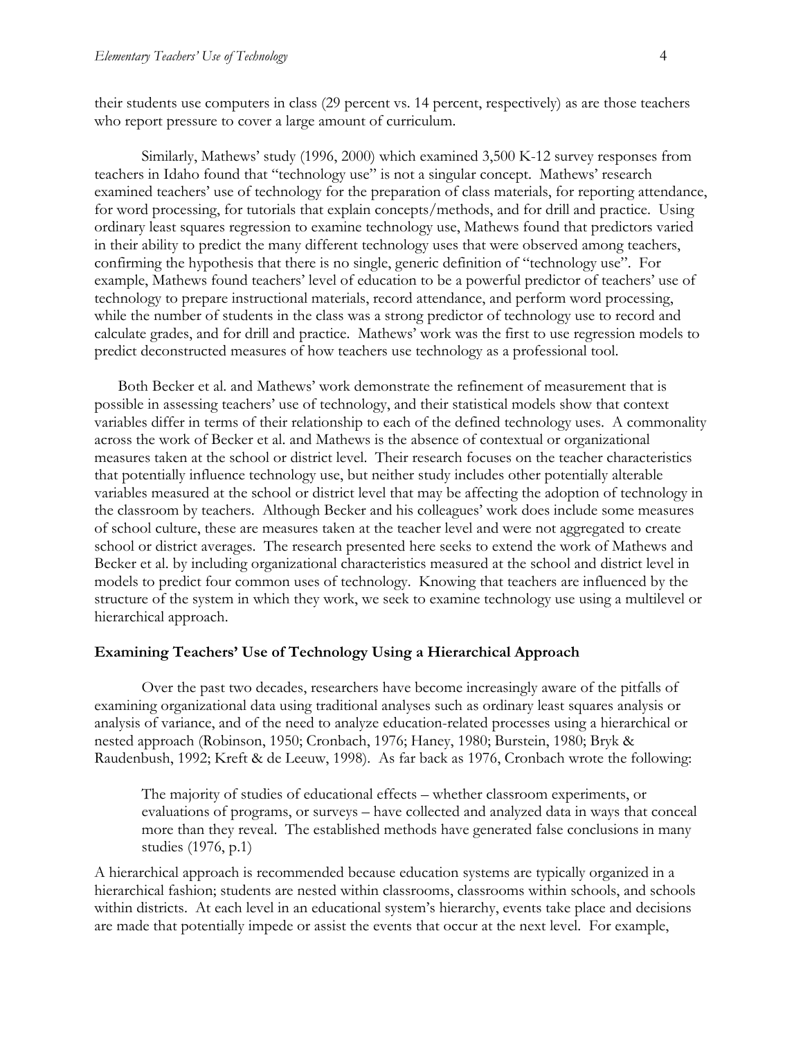their students use computers in class (29 percent vs. 14 percent, respectively) as are those teachers who report pressure to cover a large amount of curriculum.

Similarly, Mathews' study (1996, 2000) which examined 3,500 K-12 survey responses from teachers in Idaho found that "technology use" is not a singular concept. Mathews' research examined teachers' use of technology for the preparation of class materials, for reporting attendance, for word processing, for tutorials that explain concepts/methods, and for drill and practice. Using ordinary least squares regression to examine technology use, Mathews found that predictors varied in their ability to predict the many different technology uses that were observed among teachers, confirming the hypothesis that there is no single, generic definition of "technology use". For example, Mathews found teachers' level of education to be a powerful predictor of teachers' use of technology to prepare instructional materials, record attendance, and perform word processing, while the number of students in the class was a strong predictor of technology use to record and calculate grades, and for drill and practice. Mathews' work was the first to use regression models to predict deconstructed measures of how teachers use technology as a professional tool.

Both Becker et al. and Mathews' work demonstrate the refinement of measurement that is possible in assessing teachers' use of technology, and their statistical models show that context variables differ in terms of their relationship to each of the defined technology uses. A commonality across the work of Becker et al. and Mathews is the absence of contextual or organizational measures taken at the school or district level. Their research focuses on the teacher characteristics that potentially influence technology use, but neither study includes other potentially alterable variables measured at the school or district level that may be affecting the adoption of technology in the classroom by teachers. Although Becker and his colleagues' work does include some measures of school culture, these are measures taken at the teacher level and were not aggregated to create school or district averages. The research presented here seeks to extend the work of Mathews and Becker et al. by including organizational characteristics measured at the school and district level in models to predict four common uses of technology. Knowing that teachers are influenced by the structure of the system in which they work, we seek to examine technology use using a multilevel or hierarchical approach.

#### **Examining Teachers' Use of Technology Using a Hierarchical Approach**

Over the past two decades, researchers have become increasingly aware of the pitfalls of examining organizational data using traditional analyses such as ordinary least squares analysis or analysis of variance, and of the need to analyze education-related processes using a hierarchical or nested approach (Robinson, 1950; Cronbach, 1976; Haney, 1980; Burstein, 1980; Bryk & Raudenbush, 1992; Kreft & de Leeuw, 1998). As far back as 1976, Cronbach wrote the following:

The majority of studies of educational effects – whether classroom experiments, or evaluations of programs, or surveys – have collected and analyzed data in ways that conceal more than they reveal. The established methods have generated false conclusions in many studies (1976, p.1)

A hierarchical approach is recommended because education systems are typically organized in a hierarchical fashion; students are nested within classrooms, classrooms within schools, and schools within districts. At each level in an educational system's hierarchy, events take place and decisions are made that potentially impede or assist the events that occur at the next level. For example,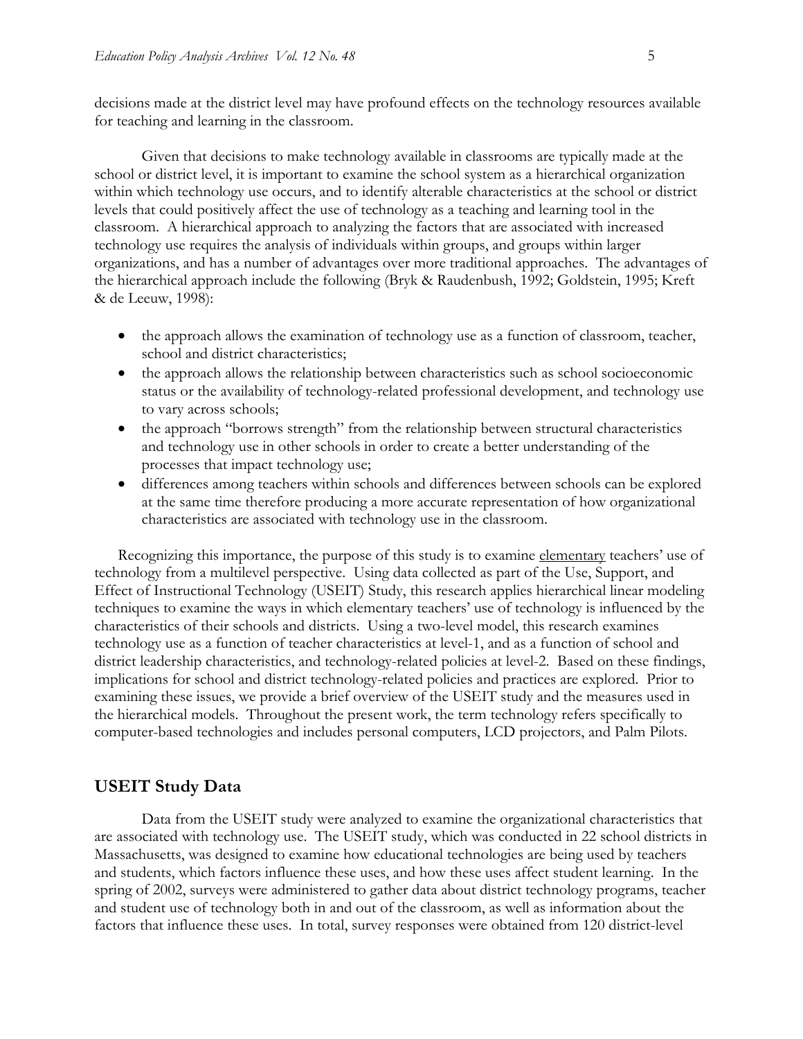decisions made at the district level may have profound effects on the technology resources available for teaching and learning in the classroom.

Given that decisions to make technology available in classrooms are typically made at the school or district level, it is important to examine the school system as a hierarchical organization within which technology use occurs, and to identify alterable characteristics at the school or district levels that could positively affect the use of technology as a teaching and learning tool in the classroom. A hierarchical approach to analyzing the factors that are associated with increased technology use requires the analysis of individuals within groups, and groups within larger organizations, and has a number of advantages over more traditional approaches. The advantages of the hierarchical approach include the following (Bryk & Raudenbush, 1992; Goldstein, 1995; Kreft & de Leeuw, 1998):

- the approach allows the examination of technology use as a function of classroom, teacher, school and district characteristics;
- the approach allows the relationship between characteristics such as school socioeconomic status or the availability of technology-related professional development, and technology use to vary across schools;
- the approach "borrows strength" from the relationship between structural characteristics and technology use in other schools in order to create a better understanding of the processes that impact technology use;
- differences among teachers within schools and differences between schools can be explored at the same time therefore producing a more accurate representation of how organizational characteristics are associated with technology use in the classroom.

Recognizing this importance, the purpose of this study is to examine elementary teachers' use of technology from a multilevel perspective. Using data collected as part of the Use, Support, and Effect of Instructional Technology (USEIT) Study, this research applies hierarchical linear modeling techniques to examine the ways in which elementary teachers' use of technology is influenced by the characteristics of their schools and districts. Using a two-level model, this research examines technology use as a function of teacher characteristics at level-1, and as a function of school and district leadership characteristics, and technology-related policies at level-2. Based on these findings, implications for school and district technology-related policies and practices are explored. Prior to examining these issues, we provide a brief overview of the USEIT study and the measures used in the hierarchical models. Throughout the present work, the term technology refers specifically to computer-based technologies and includes personal computers, LCD projectors, and Palm Pilots.

#### **USEIT Study Data**

Data from the USEIT study were analyzed to examine the organizational characteristics that are associated with technology use. The USEIT study, which was conducted in 22 school districts in Massachusetts, was designed to examine how educational technologies are being used by teachers and students, which factors influence these uses, and how these uses affect student learning. In the spring of 2002, surveys were administered to gather data about district technology programs, teacher and student use of technology both in and out of the classroom, as well as information about the factors that influence these uses. In total, survey responses were obtained from 120 district-level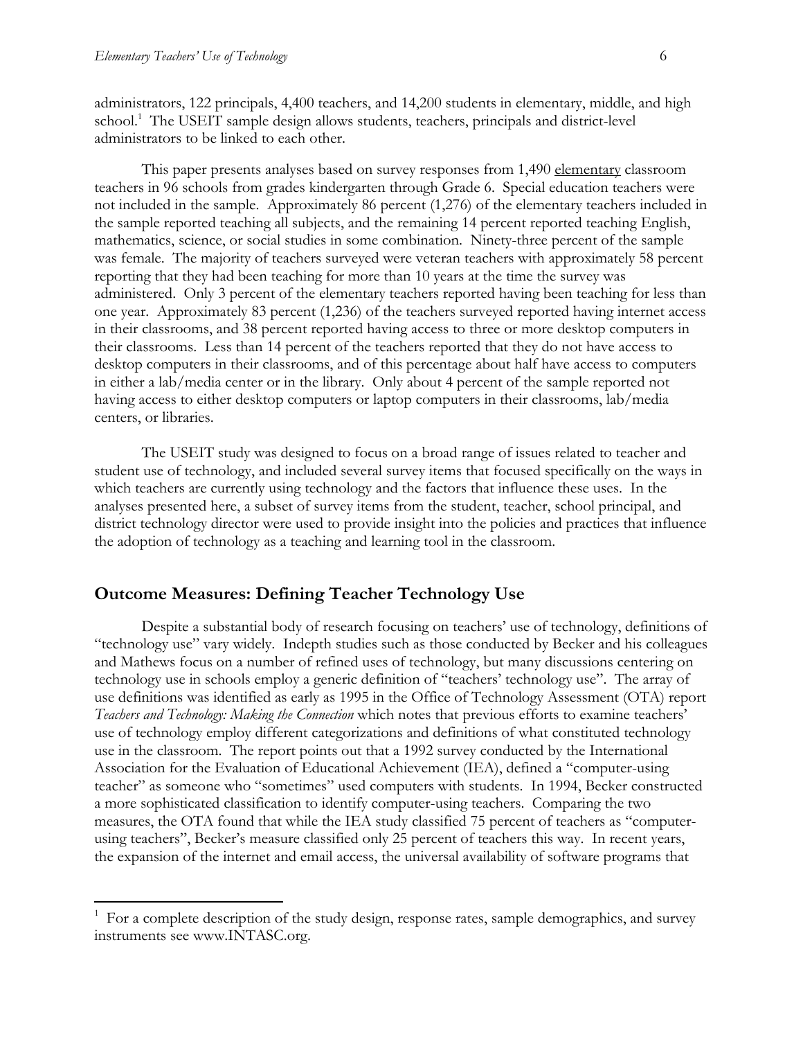$\overline{a}$ 

administrators, 122 principals, 4,400 teachers, and 14,200 students in elementary, middle, and high school.<sup>1</sup> The USEIT sample design allows students, teachers, principals and district-level administrators to be linked to each other.

This paper presents analyses based on survey responses from 1,490 elementary classroom teachers in 96 schools from grades kindergarten through Grade 6. Special education teachers were not included in the sample. Approximately 86 percent (1,276) of the elementary teachers included in the sample reported teaching all subjects, and the remaining 14 percent reported teaching English, mathematics, science, or social studies in some combination. Ninety-three percent of the sample was female. The majority of teachers surveyed were veteran teachers with approximately 58 percent reporting that they had been teaching for more than 10 years at the time the survey was administered. Only 3 percent of the elementary teachers reported having been teaching for less than one year. Approximately 83 percent (1,236) of the teachers surveyed reported having internet access in their classrooms, and 38 percent reported having access to three or more desktop computers in their classrooms. Less than 14 percent of the teachers reported that they do not have access to desktop computers in their classrooms, and of this percentage about half have access to computers in either a lab/media center or in the library. Only about 4 percent of the sample reported not having access to either desktop computers or laptop computers in their classrooms, lab/media centers, or libraries.

The USEIT study was designed to focus on a broad range of issues related to teacher and student use of technology, and included several survey items that focused specifically on the ways in which teachers are currently using technology and the factors that influence these uses. In the analyses presented here, a subset of survey items from the student, teacher, school principal, and district technology director were used to provide insight into the policies and practices that influence the adoption of technology as a teaching and learning tool in the classroom.

#### **Outcome Measures: Defining Teacher Technology Use**

Despite a substantial body of research focusing on teachers' use of technology, definitions of "technology use" vary widely. Indepth studies such as those conducted by Becker and his colleagues and Mathews focus on a number of refined uses of technology, but many discussions centering on technology use in schools employ a generic definition of "teachers' technology use". The array of use definitions was identified as early as 1995 in the Office of Technology Assessment (OTA) report *Teachers and Technology: Making the Connection* which notes that previous efforts to examine teachers' use of technology employ different categorizations and definitions of what constituted technology use in the classroom. The report points out that a 1992 survey conducted by the International Association for the Evaluation of Educational Achievement (IEA), defined a "computer-using teacher" as someone who "sometimes" used computers with students. In 1994, Becker constructed a more sophisticated classification to identify computer-using teachers. Comparing the two measures, the OTA found that while the IEA study classified 75 percent of teachers as "computerusing teachers", Becker's measure classified only 25 percent of teachers this way. In recent years, the expansion of the internet and email access, the universal availability of software programs that

<sup>&</sup>lt;sup>1</sup> For a complete description of the study design, response rates, sample demographics, and survey instruments see www.INTASC.org.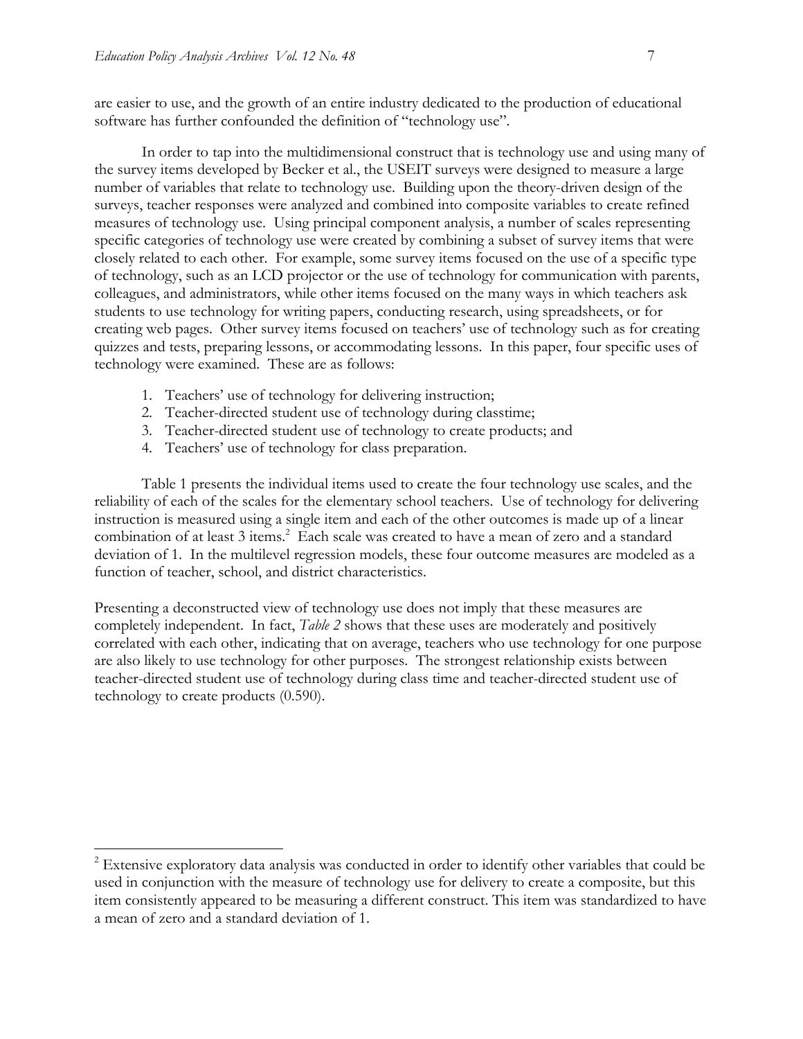$\overline{a}$ 

are easier to use, and the growth of an entire industry dedicated to the production of educational software has further confounded the definition of "technology use".

In order to tap into the multidimensional construct that is technology use and using many of the survey items developed by Becker et al., the USEIT surveys were designed to measure a large number of variables that relate to technology use. Building upon the theory-driven design of the surveys, teacher responses were analyzed and combined into composite variables to create refined measures of technology use. Using principal component analysis, a number of scales representing specific categories of technology use were created by combining a subset of survey items that were closely related to each other. For example, some survey items focused on the use of a specific type of technology, such as an LCD projector or the use of technology for communication with parents, colleagues, and administrators, while other items focused on the many ways in which teachers ask students to use technology for writing papers, conducting research, using spreadsheets, or for creating web pages. Other survey items focused on teachers' use of technology such as for creating quizzes and tests, preparing lessons, or accommodating lessons. In this paper, four specific uses of technology were examined. These are as follows:

- 1. Teachers' use of technology for delivering instruction;
- 2. Teacher-directed student use of technology during classtime;
- 3. Teacher-directed student use of technology to create products; and
- 4. Teachers' use of technology for class preparation.

Table 1 presents the individual items used to create the four technology use scales, and the reliability of each of the scales for the elementary school teachers. Use of technology for delivering instruction is measured using a single item and each of the other outcomes is made up of a linear combination of at least 3 items.<sup>2</sup> Each scale was created to have a mean of zero and a standard deviation of 1. In the multilevel regression models, these four outcome measures are modeled as a function of teacher, school, and district characteristics.

Presenting a deconstructed view of technology use does not imply that these measures are completely independent. In fact, *Table 2* shows that these uses are moderately and positively correlated with each other, indicating that on average, teachers who use technology for one purpose are also likely to use technology for other purposes. The strongest relationship exists between teacher-directed student use of technology during class time and teacher-directed student use of technology to create products (0.590).

 $2^{2}$  Extensive exploratory data analysis was conducted in order to identify other variables that could be used in conjunction with the measure of technology use for delivery to create a composite, but this item consistently appeared to be measuring a different construct. This item was standardized to have a mean of zero and a standard deviation of 1.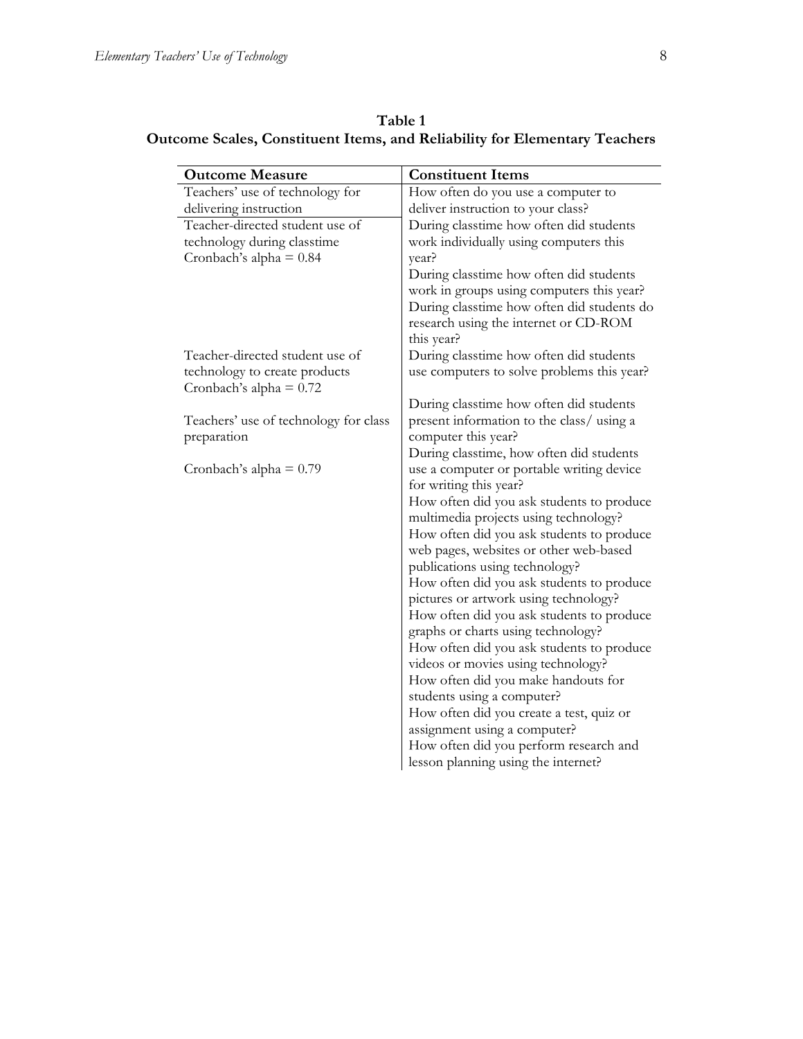| Table 1                                                                           |
|-----------------------------------------------------------------------------------|
| <b>Outcome Scales, Constituent Items, and Reliability for Elementary Teachers</b> |

| <b>Outcome Measure</b>                                     | <b>Constituent Items</b>                                                 |
|------------------------------------------------------------|--------------------------------------------------------------------------|
| Teachers' use of technology for                            | How often do you use a computer to                                       |
| delivering instruction                                     | deliver instruction to your class?                                       |
| Teacher-directed student use of                            | During classtime how often did students                                  |
| technology during classtime                                | work individually using computers this                                   |
| Cronbach's alpha = $0.84$                                  | year?                                                                    |
|                                                            | During classtime how often did students                                  |
|                                                            | work in groups using computers this year?                                |
|                                                            | During classtime how often did students do                               |
|                                                            | research using the internet or CD-ROM                                    |
|                                                            | this year?                                                               |
| Teacher-directed student use of                            | During classtime how often did students                                  |
| technology to create products<br>Cronbach's alpha = $0.72$ | use computers to solve problems this year?                               |
|                                                            | During classtime how often did students                                  |
| Teachers' use of technology for class                      | present information to the class/using a                                 |
| preparation                                                | computer this year?                                                      |
|                                                            | During classtime, how often did students                                 |
| Cronbach's alpha = $0.79$                                  | use a computer or portable writing device                                |
|                                                            | for writing this year?                                                   |
|                                                            | How often did you ask students to produce                                |
|                                                            | multimedia projects using technology?                                    |
|                                                            | How often did you ask students to produce                                |
|                                                            | web pages, websites or other web-based<br>publications using technology? |
|                                                            | How often did you ask students to produce                                |
|                                                            | pictures or artwork using technology?                                    |
|                                                            | How often did you ask students to produce                                |
|                                                            | graphs or charts using technology?                                       |
|                                                            | How often did you ask students to produce                                |
|                                                            | videos or movies using technology?                                       |
|                                                            | How often did you make handouts for                                      |
|                                                            | students using a computer?                                               |
|                                                            | How often did you create a test, quiz or                                 |
|                                                            | assignment using a computer?                                             |
|                                                            | How often did you perform research and                                   |
|                                                            | lesson planning using the internet?                                      |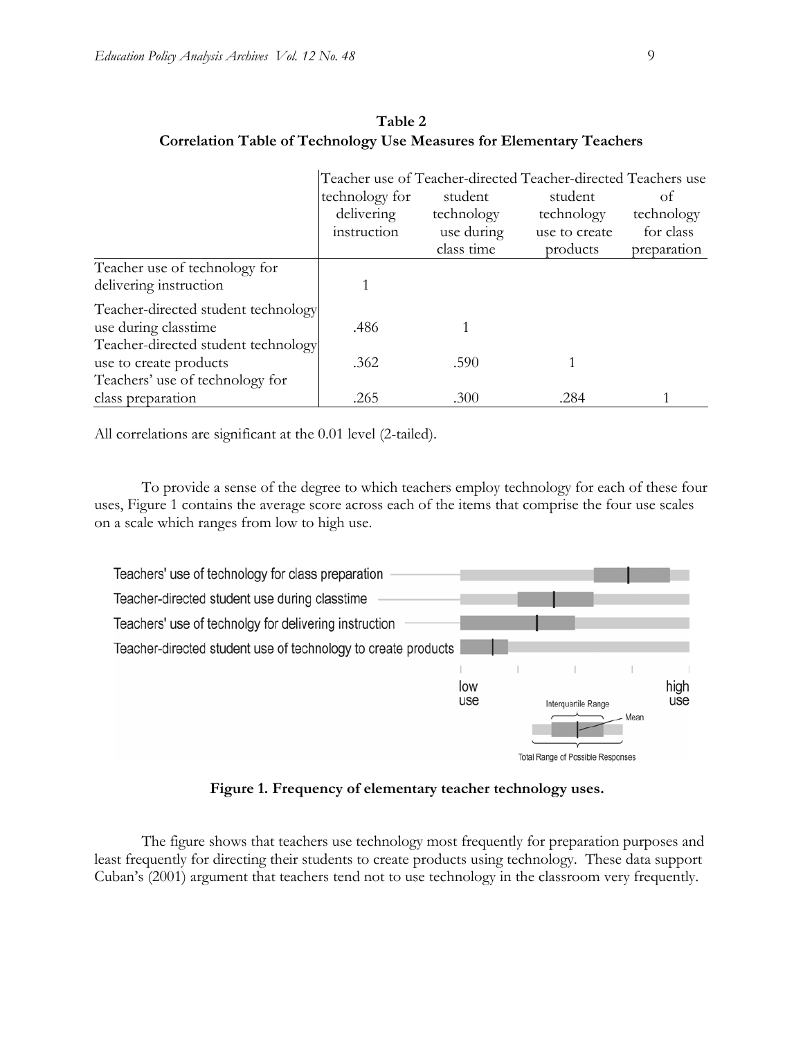|                                                               |                |            | Teacher use of Teacher-directed Teacher-directed Teachers use |             |
|---------------------------------------------------------------|----------------|------------|---------------------------------------------------------------|-------------|
|                                                               | technology for | student    | student                                                       | Οf          |
|                                                               | delivering     | technology | technology                                                    | technology  |
|                                                               | instruction    | use during | use to create                                                 | for class   |
|                                                               |                | class time | products                                                      | preparation |
| Teacher use of technology for<br>delivering instruction       |                |            |                                                               |             |
| Teacher-directed student technology<br>use during classtime   | .486           |            |                                                               |             |
| Teacher-directed student technology<br>use to create products | .362           | .590       |                                                               |             |
| Teachers' use of technology for                               |                |            |                                                               |             |
| class preparation                                             | .265           | .300       | .284                                                          |             |

**Table 2 Correlation Table of Technology Use Measures for Elementary Teachers** 

All correlations are significant at the 0.01 level (2-tailed).

To provide a sense of the degree to which teachers employ technology for each of these four uses, Figure 1 contains the average score across each of the items that comprise the four use scales on a scale which ranges from low to high use.



**Figure 1. Frequency of elementary teacher technology uses.** 

The figure shows that teachers use technology most frequently for preparation purposes and least frequently for directing their students to create products using technology. These data support Cuban's (2001) argument that teachers tend not to use technology in the classroom very frequently.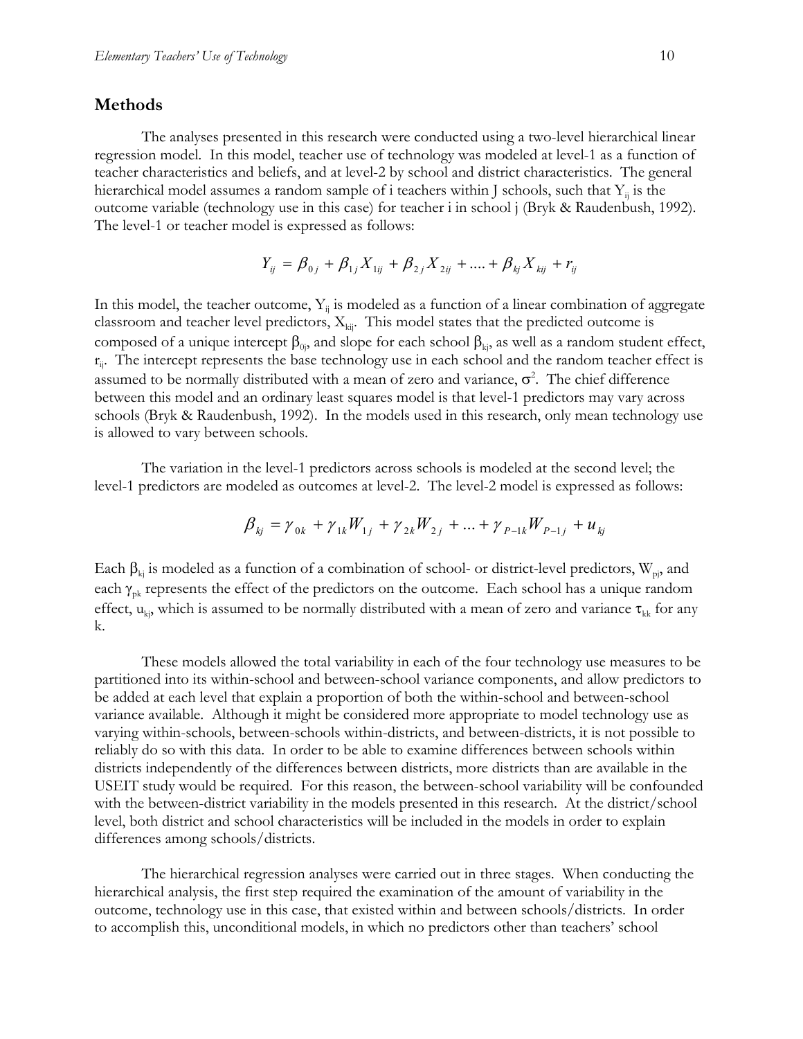#### **Methods**

The analyses presented in this research were conducted using a two-level hierarchical linear regression model. In this model, teacher use of technology was modeled at level-1 as a function of teacher characteristics and beliefs, and at level-2 by school and district characteristics. The general hierarchical model assumes a random sample of i teachers within J schools, such that  $Y_{ii}$  is the outcome variable (technology use in this case) for teacher i in school j (Bryk & Raudenbush, 1992). The level-1 or teacher model is expressed as follows:

$$
Y_{ij} = \beta_{0j} + \beta_{1j} X_{1ij} + \beta_{2j} X_{2ij} + \dots + \beta_{kj} X_{kij} + r_{ij}
$$

In this model, the teacher outcome,  $Y_{ii}$  is modeled as a function of a linear combination of aggregate classroom and teacher level predictors,  $X_{kij}$ . This model states that the predicted outcome is composed of a unique intercept  $β_{0j}$ , and slope for each school  $β_{kj}$ , as well as a random student effect,  $r_{ij}$ . The intercept represents the base technology use in each school and the random teacher effect is assumed to be normally distributed with a mean of zero and variance,  $\sigma^2$ . The chief difference between this model and an ordinary least squares model is that level-1 predictors may vary across schools (Bryk & Raudenbush, 1992). In the models used in this research, only mean technology use is allowed to vary between schools.

The variation in the level-1 predictors across schools is modeled at the second level; the level-1 predictors are modeled as outcomes at level-2. The level-2 model is expressed as follows:

$$
\beta_{kj} = \gamma_{0k} + \gamma_{1k} W_{1j} + \gamma_{2k} W_{2j} + \dots + \gamma_{P-1k} W_{P-1j} + u_{kj}
$$

Each  $\beta_{kj}$  is modeled as a function of a combination of school- or district-level predictors, W<sub>pj</sub>, and each  $\gamma_{\rm pk}$  represents the effect of the predictors on the outcome. Each school has a unique random effect,  $u_{ki}$ , which is assumed to be normally distributed with a mean of zero and variance  $\tau_{kk}$  for any k.

These models allowed the total variability in each of the four technology use measures to be partitioned into its within-school and between-school variance components, and allow predictors to be added at each level that explain a proportion of both the within-school and between-school variance available. Although it might be considered more appropriate to model technology use as varying within-schools, between-schools within-districts, and between-districts, it is not possible to reliably do so with this data. In order to be able to examine differences between schools within districts independently of the differences between districts, more districts than are available in the USEIT study would be required. For this reason, the between-school variability will be confounded with the between-district variability in the models presented in this research. At the district/school level, both district and school characteristics will be included in the models in order to explain differences among schools/districts.

The hierarchical regression analyses were carried out in three stages. When conducting the hierarchical analysis, the first step required the examination of the amount of variability in the outcome, technology use in this case, that existed within and between schools/districts. In order to accomplish this, unconditional models, in which no predictors other than teachers' school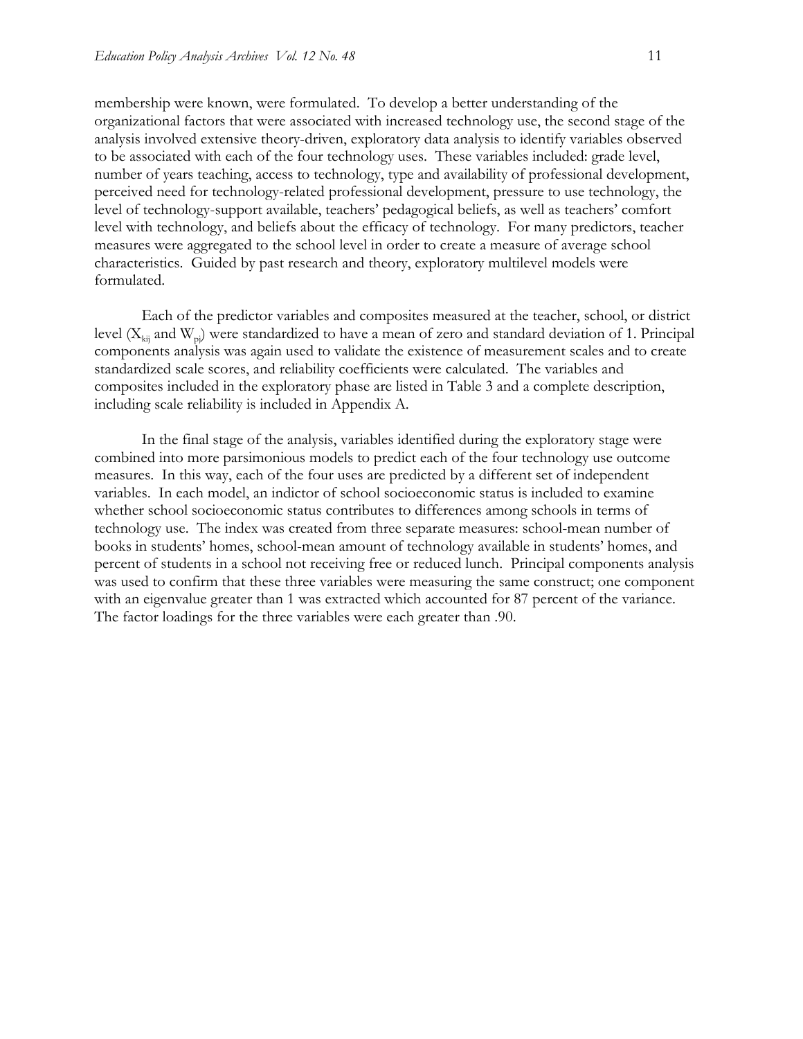membership were known, were formulated. To develop a better understanding of the organizational factors that were associated with increased technology use, the second stage of the analysis involved extensive theory-driven, exploratory data analysis to identify variables observed to be associated with each of the four technology uses. These variables included: grade level, number of years teaching, access to technology, type and availability of professional development, perceived need for technology-related professional development, pressure to use technology, the level of technology-support available, teachers' pedagogical beliefs, as well as teachers' comfort level with technology, and beliefs about the efficacy of technology. For many predictors, teacher measures were aggregated to the school level in order to create a measure of average school characteristics. Guided by past research and theory, exploratory multilevel models were formulated.

Each of the predictor variables and composites measured at the teacher, school, or district level ( $X_{kij}$  and  $W_{pj}$ ) were standardized to have a mean of zero and standard deviation of 1. Principal components analysis was again used to validate the existence of measurement scales and to create standardized scale scores, and reliability coefficients were calculated. The variables and composites included in the exploratory phase are listed in Table 3 and a complete description, including scale reliability is included in Appendix A.

In the final stage of the analysis, variables identified during the exploratory stage were combined into more parsimonious models to predict each of the four technology use outcome measures. In this way, each of the four uses are predicted by a different set of independent variables. In each model, an indictor of school socioeconomic status is included to examine whether school socioeconomic status contributes to differences among schools in terms of technology use. The index was created from three separate measures: school-mean number of books in students' homes, school-mean amount of technology available in students' homes, and percent of students in a school not receiving free or reduced lunch. Principal components analysis was used to confirm that these three variables were measuring the same construct; one component with an eigenvalue greater than 1 was extracted which accounted for 87 percent of the variance. The factor loadings for the three variables were each greater than .90.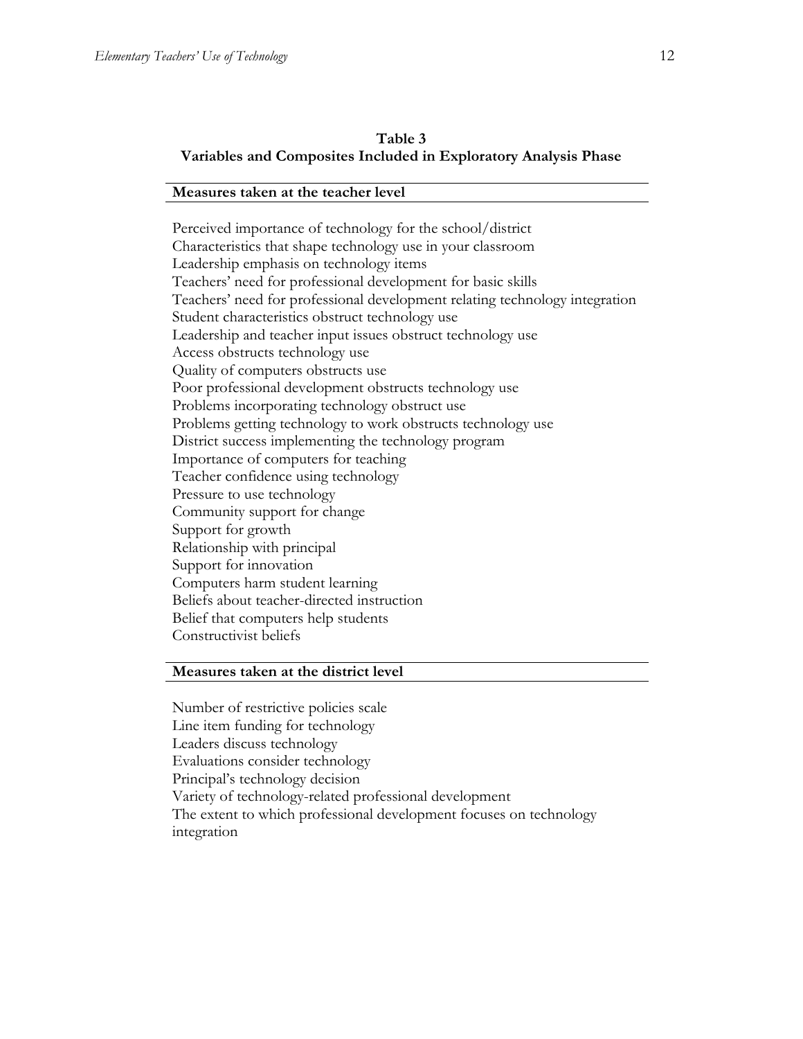#### **Table 3 Variables and Composites Included in Exploratory Analysis Phase**

#### **Measures taken at the teacher level**

Perceived importance of technology for the school/district Characteristics that shape technology use in your classroom Leadership emphasis on technology items Teachers' need for professional development for basic skills Teachers' need for professional development relating technology integration Student characteristics obstruct technology use Leadership and teacher input issues obstruct technology use Access obstructs technology use Quality of computers obstructs use Poor professional development obstructs technology use Problems incorporating technology obstruct use Problems getting technology to work obstructs technology use District success implementing the technology program Importance of computers for teaching Teacher confidence using technology Pressure to use technology Community support for change Support for growth Relationship with principal Support for innovation Computers harm student learning Beliefs about teacher-directed instruction Belief that computers help students Constructivist beliefs

#### **Measures taken at the district level**

Number of restrictive policies scale Line item funding for technology Leaders discuss technology Evaluations consider technology Principal's technology decision Variety of technology-related professional development The extent to which professional development focuses on technology integration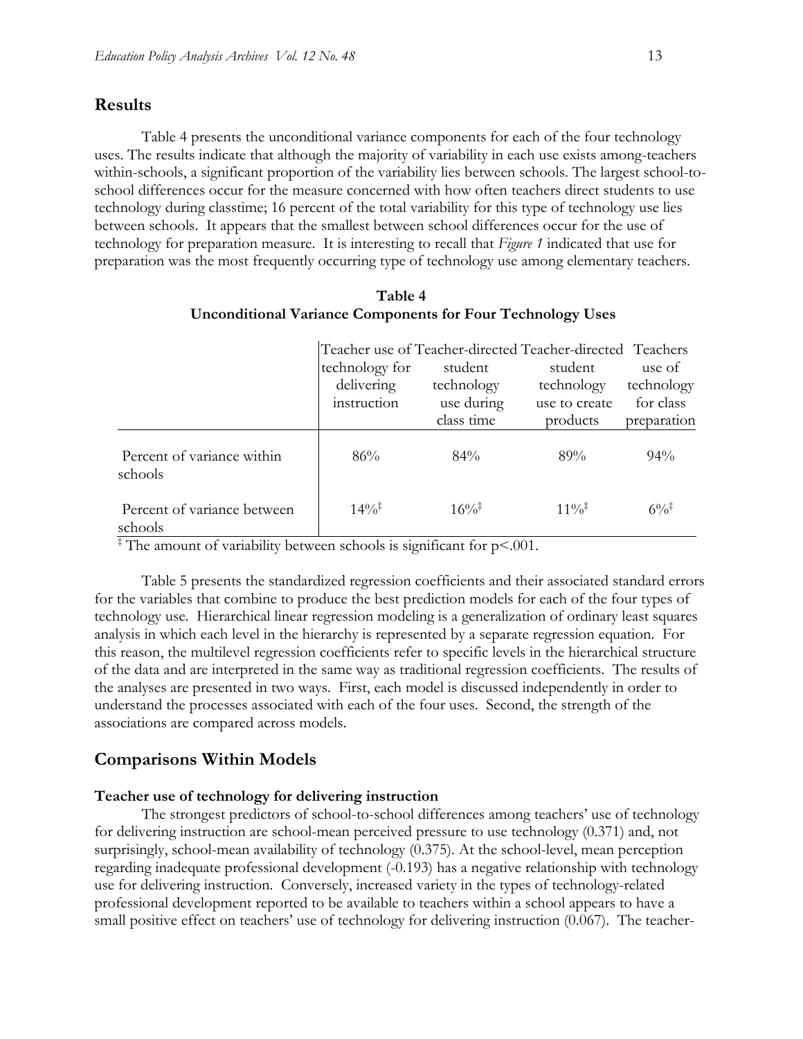#### **Results**

Table 4 presents the unconditional variance components for each of the four technology uses. The results indicate that although the majority of variability in each use exists among-teachers within-schools, a significant proportion of the variability lies between schools. The largest school-toschool differences occur for the measure concerned with how often teachers direct students to use technology during classtime; 16 percent of the total variability for this type of technology use lies between schools. It appears that the smallest between school differences occur for the use of technology for preparation measure. It is interesting to recall that *Figure 1* indicated that use for preparation was the most frequently occurring type of technology use among elementary teachers.

|                                        | Teacher use of Teacher-directed Teacher-directed Teachers<br>technology for<br>delivering<br>instruction | student<br>technology<br>use during<br>class time | student<br>technology<br>use to create<br>products | use of<br>technology<br>for class<br>preparation |
|----------------------------------------|----------------------------------------------------------------------------------------------------------|---------------------------------------------------|----------------------------------------------------|--------------------------------------------------|
| Percent of variance within<br>schools  | 86%                                                                                                      | $84\%$                                            | 89%                                                | $94\%$                                           |
| Percent of variance between<br>schools | $14\%$ <sup>‡</sup>                                                                                      | $16\%^{\ddagger}$                                 | $11\%^+$                                           | $6\%$                                            |

| Table 4                                                           |
|-------------------------------------------------------------------|
| <b>Unconditional Variance Components for Four Technology Uses</b> |

‡ The amount of variability between schools is significant for p<.001.

Table 5 presents the standardized regression coefficients and their associated standard errors for the variables that combine to produce the best prediction models for each of the four types of technology use. Hierarchical linear regression modeling is a generalization of ordinary least squares analysis in which each level in the hierarchy is represented by a separate regression equation. For this reason, the multilevel regression coefficients refer to specific levels in the hierarchical structure of the data and are interpreted in the same way as traditional regression coefficients. The results of the analyses are presented in two ways. First, each model is discussed independently in order to understand the processes associated with each of the four uses. Second, the strength of the associations are compared across models.

#### **Comparisons Within Models**

#### **Teacher use of technology for delivering instruction**

The strongest predictors of school-to-school differences among teachers' use of technology for delivering instruction are school-mean perceived pressure to use technology (0.371) and, not surprisingly, school-mean availability of technology (0.375). At the school-level, mean perception regarding inadequate professional development (-0.193) has a negative relationship with technology use for delivering instruction. Conversely, increased variety in the types of technology-related professional development reported to be available to teachers within a school appears to have a small positive effect on teachers' use of technology for delivering instruction (0.067). The teacher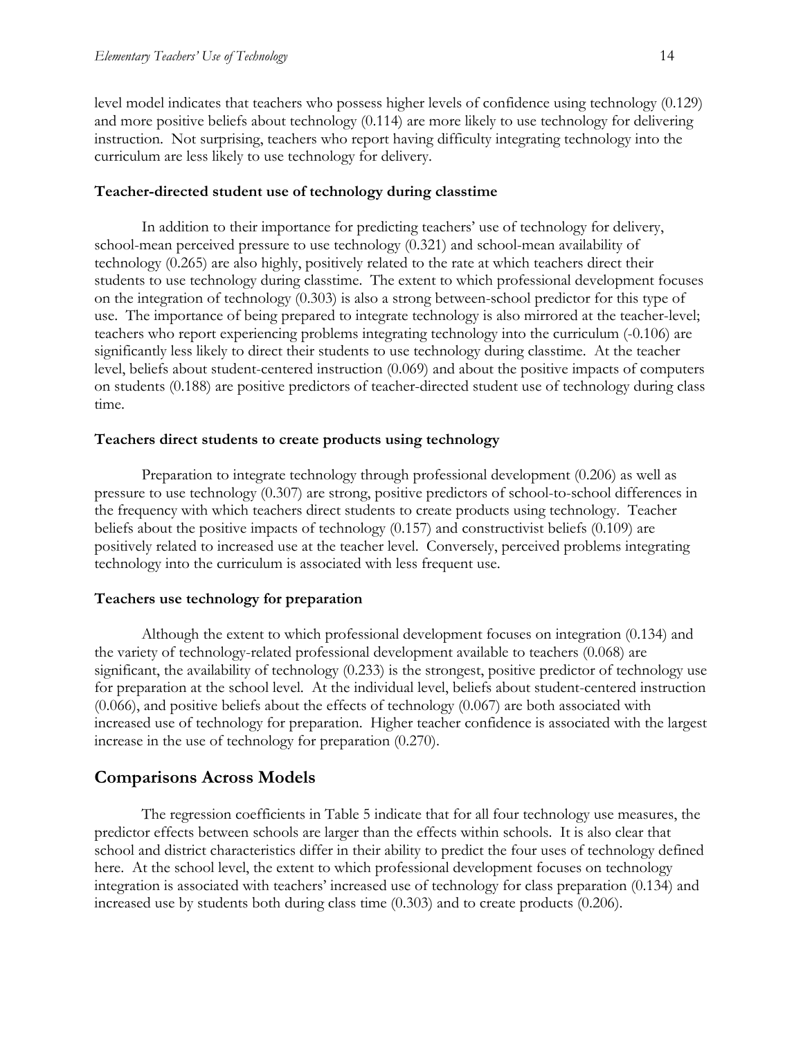level model indicates that teachers who possess higher levels of confidence using technology (0.129) and more positive beliefs about technology (0.114) are more likely to use technology for delivering instruction. Not surprising, teachers who report having difficulty integrating technology into the curriculum are less likely to use technology for delivery.

#### **Teacher-directed student use of technology during classtime**

In addition to their importance for predicting teachers' use of technology for delivery, school-mean perceived pressure to use technology (0.321) and school-mean availability of technology (0.265) are also highly, positively related to the rate at which teachers direct their students to use technology during classtime. The extent to which professional development focuses on the integration of technology (0.303) is also a strong between-school predictor for this type of use. The importance of being prepared to integrate technology is also mirrored at the teacher-level; teachers who report experiencing problems integrating technology into the curriculum (-0.106) are significantly less likely to direct their students to use technology during classtime. At the teacher level, beliefs about student-centered instruction (0.069) and about the positive impacts of computers on students (0.188) are positive predictors of teacher-directed student use of technology during class time.

#### **Teachers direct students to create products using technology**

Preparation to integrate technology through professional development (0.206) as well as pressure to use technology (0.307) are strong, positive predictors of school-to-school differences in the frequency with which teachers direct students to create products using technology. Teacher beliefs about the positive impacts of technology (0.157) and constructivist beliefs (0.109) are positively related to increased use at the teacher level. Conversely, perceived problems integrating technology into the curriculum is associated with less frequent use.

#### **Teachers use technology for preparation**

Although the extent to which professional development focuses on integration (0.134) and the variety of technology-related professional development available to teachers (0.068) are significant, the availability of technology (0.233) is the strongest, positive predictor of technology use for preparation at the school level. At the individual level, beliefs about student-centered instruction (0.066), and positive beliefs about the effects of technology (0.067) are both associated with increased use of technology for preparation. Higher teacher confidence is associated with the largest increase in the use of technology for preparation (0.270).

#### **Comparisons Across Models**

The regression coefficients in Table 5 indicate that for all four technology use measures, the predictor effects between schools are larger than the effects within schools. It is also clear that school and district characteristics differ in their ability to predict the four uses of technology defined here. At the school level, the extent to which professional development focuses on technology integration is associated with teachers' increased use of technology for class preparation (0.134) and increased use by students both during class time (0.303) and to create products (0.206).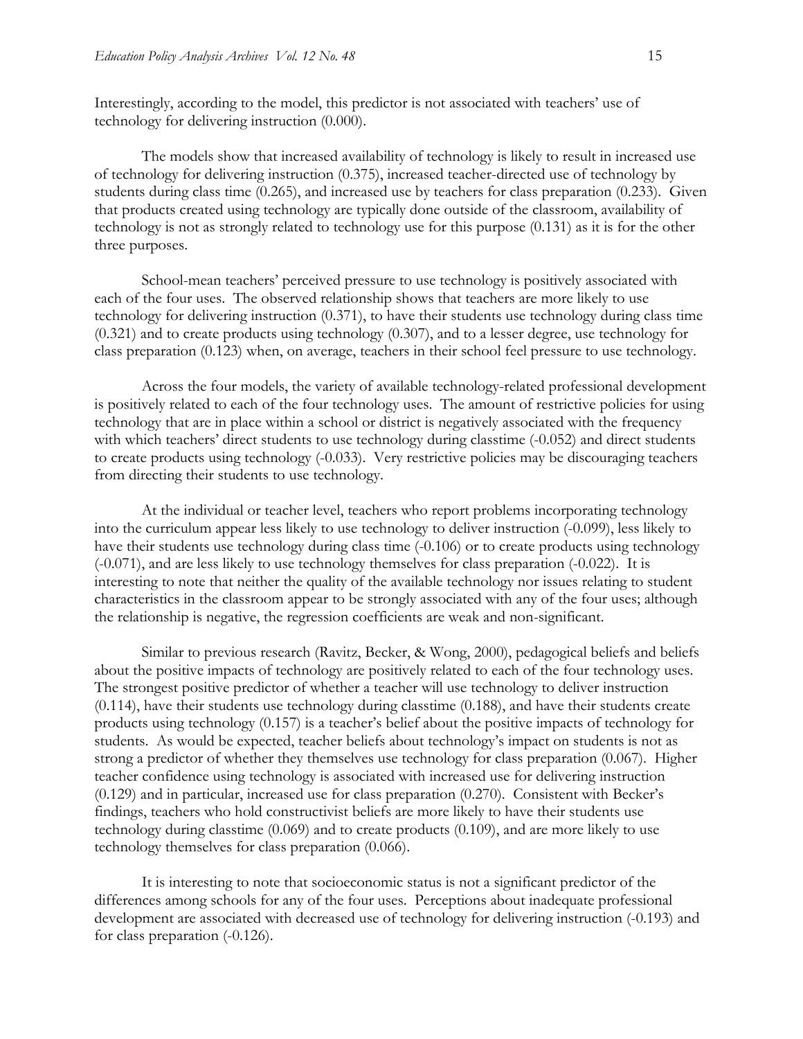Interestingly, according to the model, this predictor is not associated with teachers' use of technology for delivering instruction (0.000).

The models show that increased availability of technology is likely to result in increased use of technology for delivering instruction (0.375), increased teacher-directed use of technology by students during class time (0.265), and increased use by teachers for class preparation (0.233). Given that products created using technology are typically done outside of the classroom, availability of technology is not as strongly related to technology use for this purpose (0.131) as it is for the other three purposes.

School-mean teachers' perceived pressure to use technology is positively associated with each of the four uses. The observed relationship shows that teachers are more likely to use technology for delivering instruction (0.371), to have their students use technology during class time (0.321) and to create products using technology (0.307), and to a lesser degree, use technology for class preparation (0.123) when, on average, teachers in their school feel pressure to use technology.

Across the four models, the variety of available technology-related professional development is positively related to each of the four technology uses. The amount of restrictive policies for using technology that are in place within a school or district is negatively associated with the frequency with which teachers' direct students to use technology during classtime  $(-0.052)$  and direct students to create products using technology (-0.033). Very restrictive policies may be discouraging teachers from directing their students to use technology.

At the individual or teacher level, teachers who report problems incorporating technology into the curriculum appear less likely to use technology to deliver instruction (-0.099), less likely to have their students use technology during class time  $(-0.106)$  or to create products using technology (-0.071), and are less likely to use technology themselves for class preparation (-0.022). It is interesting to note that neither the quality of the available technology nor issues relating to student characteristics in the classroom appear to be strongly associated with any of the four uses; although the relationship is negative, the regression coefficients are weak and non-significant.

Similar to previous research (Ravitz, Becker, & Wong, 2000), pedagogical beliefs and beliefs about the positive impacts of technology are positively related to each of the four technology uses. The strongest positive predictor of whether a teacher will use technology to deliver instruction (0.114), have their students use technology during classtime (0.188), and have their students create products using technology (0.157) is a teacher's belief about the positive impacts of technology for students. As would be expected, teacher beliefs about technology's impact on students is not as strong a predictor of whether they themselves use technology for class preparation (0.067). Higher teacher confidence using technology is associated with increased use for delivering instruction (0.129) and in particular, increased use for class preparation (0.270). Consistent with Becker's findings, teachers who hold constructivist beliefs are more likely to have their students use technology during classtime (0.069) and to create products (0.109), and are more likely to use technology themselves for class preparation (0.066).

It is interesting to note that socioeconomic status is not a significant predictor of the differences among schools for any of the four uses. Perceptions about inadequate professional development are associated with decreased use of technology for delivering instruction (-0.193) and for class preparation (-0.126).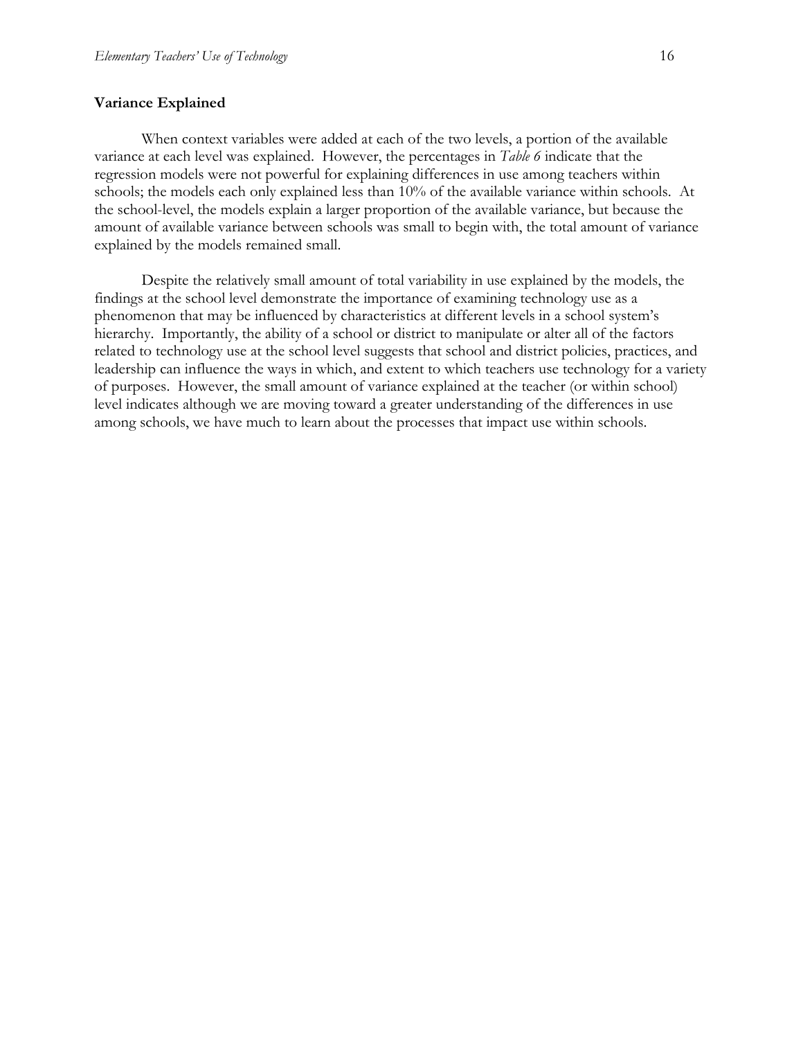#### **Variance Explained**

When context variables were added at each of the two levels, a portion of the available variance at each level was explained. However, the percentages in *Table 6* indicate that the regression models were not powerful for explaining differences in use among teachers within schools; the models each only explained less than 10% of the available variance within schools. At the school-level, the models explain a larger proportion of the available variance, but because the amount of available variance between schools was small to begin with, the total amount of variance explained by the models remained small.

Despite the relatively small amount of total variability in use explained by the models, the findings at the school level demonstrate the importance of examining technology use as a phenomenon that may be influenced by characteristics at different levels in a school system's hierarchy. Importantly, the ability of a school or district to manipulate or alter all of the factors related to technology use at the school level suggests that school and district policies, practices, and leadership can influence the ways in which, and extent to which teachers use technology for a variety of purposes. However, the small amount of variance explained at the teacher (or within school) level indicates although we are moving toward a greater understanding of the differences in use among schools, we have much to learn about the processes that impact use within schools.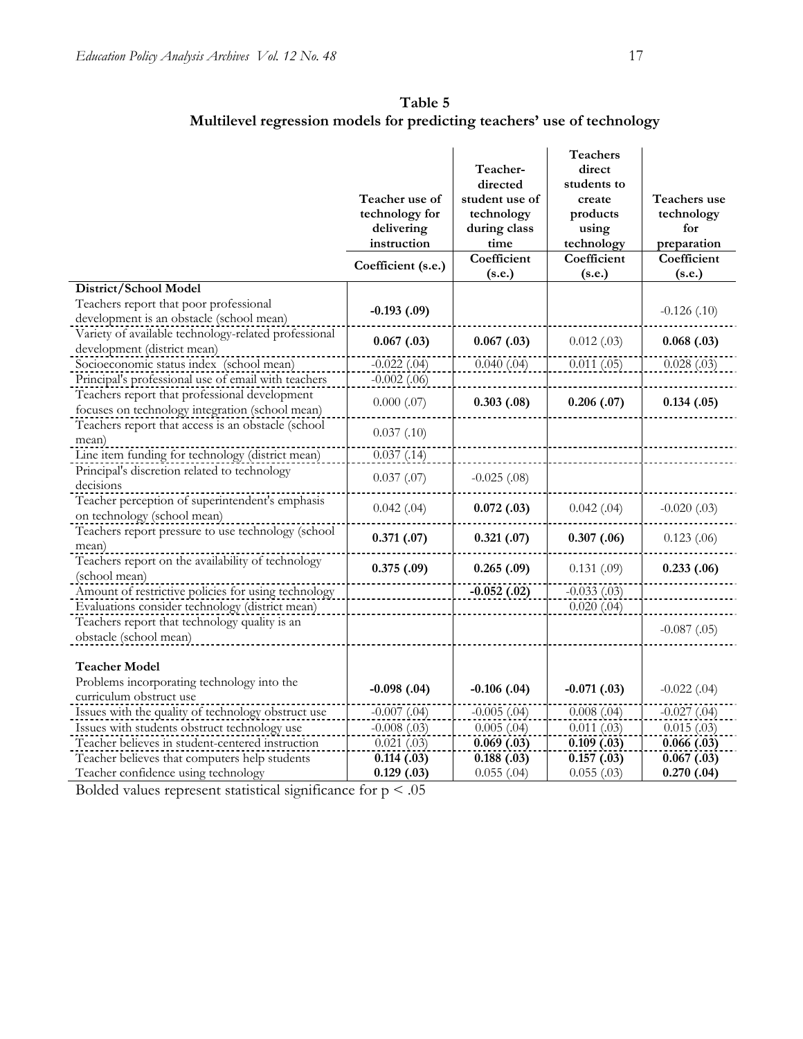|                                                                                                  | Teacher use of<br>technology for<br>delivering<br>instruction<br>Coefficient (s.e.) | Teacher-<br>directed<br>student use of<br>technology<br>during class<br>time<br>Coefficient<br>(s.e.) | <b>Teachers</b><br>direct<br>students to<br>create<br>products<br>using<br>technology<br>Coefficient<br>(s.e.) | Teachers use<br>technology<br>for<br>preparation<br>Coefficient<br>(s.e.) |
|--------------------------------------------------------------------------------------------------|-------------------------------------------------------------------------------------|-------------------------------------------------------------------------------------------------------|----------------------------------------------------------------------------------------------------------------|---------------------------------------------------------------------------|
| District/School Model                                                                            |                                                                                     |                                                                                                       |                                                                                                                |                                                                           |
| Teachers report that poor professional<br>development is an obstacle (school mean)               | $-0.193(0.09)$                                                                      |                                                                                                       |                                                                                                                | $-0.126$ $(.10)$                                                          |
| Variety of available technology-related professional<br>development (district mean)              | 0.067(0.03)                                                                         | 0.067(0.3)                                                                                            | 0.012(0.03)                                                                                                    | 0.068(0.03)                                                               |
| Socioeconomic status index (school mean)                                                         | $-0.022$ (.04)                                                                      | 0.040(0.04)                                                                                           | 0.011(0.05)                                                                                                    | 0.028(0.03)                                                               |
| Principal's professional use of email with teachers                                              | $-0.002$ (.06)                                                                      |                                                                                                       |                                                                                                                |                                                                           |
| Teachers report that professional development<br>focuses on technology integration (school mean) | $0.000$ $(.07)$                                                                     | 0.303(0.08)                                                                                           | 0.206(0.07)                                                                                                    | 0.134(0.05)                                                               |
| Teachers report that access is an obstacle (school                                               | 0.037(0.10)                                                                         |                                                                                                       |                                                                                                                |                                                                           |
| mean)                                                                                            |                                                                                     |                                                                                                       |                                                                                                                |                                                                           |
| Line item funding for technology (district mean)<br>Principal's discretion related to technology | 0.037(0.14)                                                                         |                                                                                                       |                                                                                                                |                                                                           |
| decisions                                                                                        | 0.037(0.07)                                                                         | $-0.025$ $(.08)$                                                                                      |                                                                                                                |                                                                           |
| Teacher perception of superintendent's emphasis<br>on technology (school mean)                   | $0.042$ (.04)                                                                       | 0.072(0.03)                                                                                           | $0.042$ (.04)                                                                                                  | $-0.020(0.03)$                                                            |
| Teachers report pressure to use technology (school<br>mean)                                      | 0.371(0.07)                                                                         | 0.321(0.07)                                                                                           | 0.307(0.06)                                                                                                    | 0.123(0.06)                                                               |
| Teachers report on the availability of technology<br>(school mean)                               | 0.375(0.09)                                                                         | 0.265(0.09)                                                                                           | 0.131(0.09)                                                                                                    | 0.233(0.06)                                                               |
| Amount of restrictive policies for using technology                                              |                                                                                     | $-0.052(0.02)$                                                                                        | $-0.033(0.03)$                                                                                                 |                                                                           |
| Evaluations consider technology (district mean)                                                  |                                                                                     |                                                                                                       | $0.020$ $(.04)$                                                                                                |                                                                           |
| Teachers report that technology quality is an                                                    |                                                                                     |                                                                                                       |                                                                                                                |                                                                           |
| obstacle (school mean)                                                                           |                                                                                     |                                                                                                       |                                                                                                                | $-0.087$ (.05)                                                            |
| <b>Teacher Model</b>                                                                             |                                                                                     |                                                                                                       |                                                                                                                |                                                                           |
| Problems incorporating technology into the<br>curriculum obstruct use                            | $-0.098$ $(.04)$                                                                    | $-0.106$ $(.04)$                                                                                      | $-0.071(0.03)$                                                                                                 | $-0.022$ (.04)                                                            |
| Issues with the quality of technology obstruct use                                               | $-0.007$ (.04)                                                                      | $-0.005$ $(.04)$                                                                                      | 0.008(.04)                                                                                                     | $-0.027$ (.04)                                                            |
| Issues with students obstruct technology use                                                     | $-0.008$ $(.03)$                                                                    | $0.005$ (.04)                                                                                         | $0.011$ $(.03)$                                                                                                | 0.015(0.03)                                                               |
| Teacher believes in student-centered instruction                                                 | $0.021$ $(.03)$                                                                     | 0.069(0.03)                                                                                           | 0.109(0.03)                                                                                                    | 0.066(0.03)                                                               |
| Teacher believes that computers help students                                                    | 0.114(0.03)                                                                         | 0.188(0.03)                                                                                           | 0.157(0.3)                                                                                                     | 0.067(0.03)                                                               |
| Teacher confidence using technology                                                              | 0.129(0.03)                                                                         | 0.055(.04)                                                                                            | 0.055(.03)                                                                                                     | 0.270(0.04)                                                               |

Bolded values represent statistical significance for  $p < .05$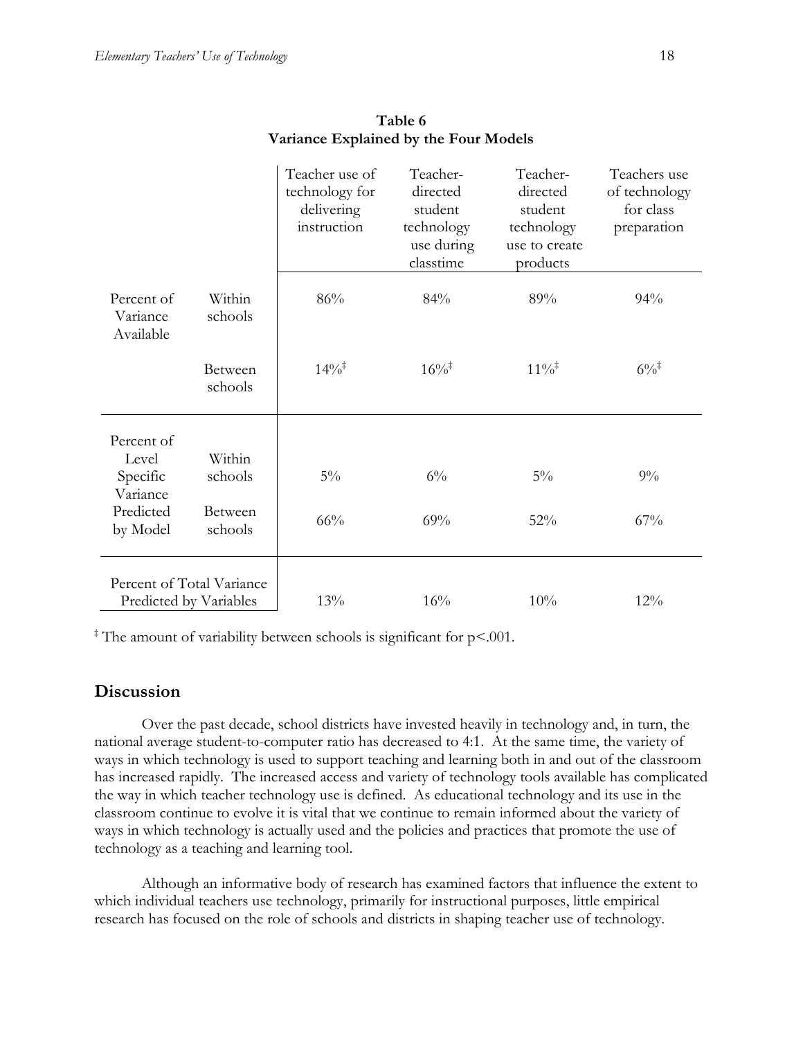|                                                     |                    | Teacher use of<br>technology for<br>delivering<br>instruction | Teacher-<br>directed<br>student<br>technology<br>use during<br>classtime | Teacher-<br>directed<br>student<br>technology<br>use to create<br>products | Teachers use<br>of technology<br>for class<br>preparation |
|-----------------------------------------------------|--------------------|---------------------------------------------------------------|--------------------------------------------------------------------------|----------------------------------------------------------------------------|-----------------------------------------------------------|
| Percent of<br>Variance<br>Available                 | Within<br>schools  | 86%                                                           | 84%                                                                      | 89%                                                                        | 94%                                                       |
|                                                     | Between<br>schools | $14\%$ <sup>‡</sup>                                           | $16\%$ <sup>‡</sup>                                                      | $11\%$ <sup>‡</sup>                                                        | $6\%$ <sup>‡</sup>                                        |
| Percent of                                          |                    |                                                               |                                                                          |                                                                            |                                                           |
| Level<br>Specific<br>Variance                       | Within<br>schools  | $5\%$                                                         | $6\%$                                                                    | $5\%$                                                                      | $9\%$                                                     |
| Predicted<br>by Model                               | Between<br>schools | 66%                                                           | 69%                                                                      | 52%                                                                        | 67%                                                       |
| Percent of Total Variance<br>Predicted by Variables |                    | 13%                                                           | 16%                                                                      | 10%                                                                        | 12%                                                       |

#### **Table 6 Variance Explained by the Four Models**

‡ The amount of variability between schools is significant for p<.001.

## **Discussion**

Over the past decade, school districts have invested heavily in technology and, in turn, the national average student-to-computer ratio has decreased to 4:1. At the same time, the variety of ways in which technology is used to support teaching and learning both in and out of the classroom has increased rapidly. The increased access and variety of technology tools available has complicated the way in which teacher technology use is defined. As educational technology and its use in the classroom continue to evolve it is vital that we continue to remain informed about the variety of ways in which technology is actually used and the policies and practices that promote the use of technology as a teaching and learning tool.

Although an informative body of research has examined factors that influence the extent to which individual teachers use technology, primarily for instructional purposes, little empirical research has focused on the role of schools and districts in shaping teacher use of technology.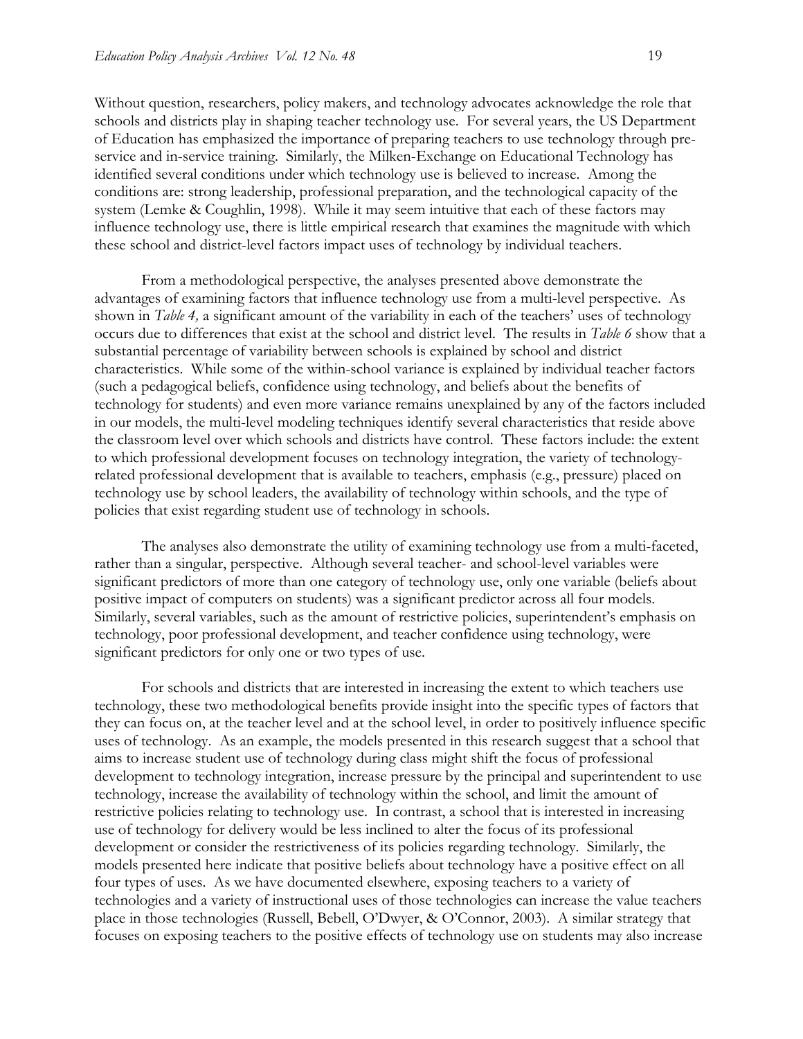Without question, researchers, policy makers, and technology advocates acknowledge the role that schools and districts play in shaping teacher technology use. For several years, the US Department of Education has emphasized the importance of preparing teachers to use technology through preservice and in-service training. Similarly, the Milken-Exchange on Educational Technology has identified several conditions under which technology use is believed to increase. Among the conditions are: strong leadership, professional preparation, and the technological capacity of the system (Lemke & Coughlin, 1998). While it may seem intuitive that each of these factors may influence technology use, there is little empirical research that examines the magnitude with which these school and district-level factors impact uses of technology by individual teachers.

From a methodological perspective, the analyses presented above demonstrate the advantages of examining factors that influence technology use from a multi-level perspective. As shown in *Table 4,* a significant amount of the variability in each of the teachers' uses of technology occurs due to differences that exist at the school and district level. The results in *Table 6* show that a substantial percentage of variability between schools is explained by school and district characteristics. While some of the within-school variance is explained by individual teacher factors (such a pedagogical beliefs, confidence using technology, and beliefs about the benefits of technology for students) and even more variance remains unexplained by any of the factors included in our models, the multi-level modeling techniques identify several characteristics that reside above the classroom level over which schools and districts have control. These factors include: the extent to which professional development focuses on technology integration, the variety of technologyrelated professional development that is available to teachers, emphasis (e.g., pressure) placed on technology use by school leaders, the availability of technology within schools, and the type of policies that exist regarding student use of technology in schools.

The analyses also demonstrate the utility of examining technology use from a multi-faceted, rather than a singular, perspective. Although several teacher- and school-level variables were significant predictors of more than one category of technology use, only one variable (beliefs about positive impact of computers on students) was a significant predictor across all four models. Similarly, several variables, such as the amount of restrictive policies, superintendent's emphasis on technology, poor professional development, and teacher confidence using technology, were significant predictors for only one or two types of use.

For schools and districts that are interested in increasing the extent to which teachers use technology, these two methodological benefits provide insight into the specific types of factors that they can focus on, at the teacher level and at the school level, in order to positively influence specific uses of technology. As an example, the models presented in this research suggest that a school that aims to increase student use of technology during class might shift the focus of professional development to technology integration, increase pressure by the principal and superintendent to use technology, increase the availability of technology within the school, and limit the amount of restrictive policies relating to technology use. In contrast, a school that is interested in increasing use of technology for delivery would be less inclined to alter the focus of its professional development or consider the restrictiveness of its policies regarding technology. Similarly, the models presented here indicate that positive beliefs about technology have a positive effect on all four types of uses. As we have documented elsewhere, exposing teachers to a variety of technologies and a variety of instructional uses of those technologies can increase the value teachers place in those technologies (Russell, Bebell, O'Dwyer, & O'Connor, 2003). A similar strategy that focuses on exposing teachers to the positive effects of technology use on students may also increase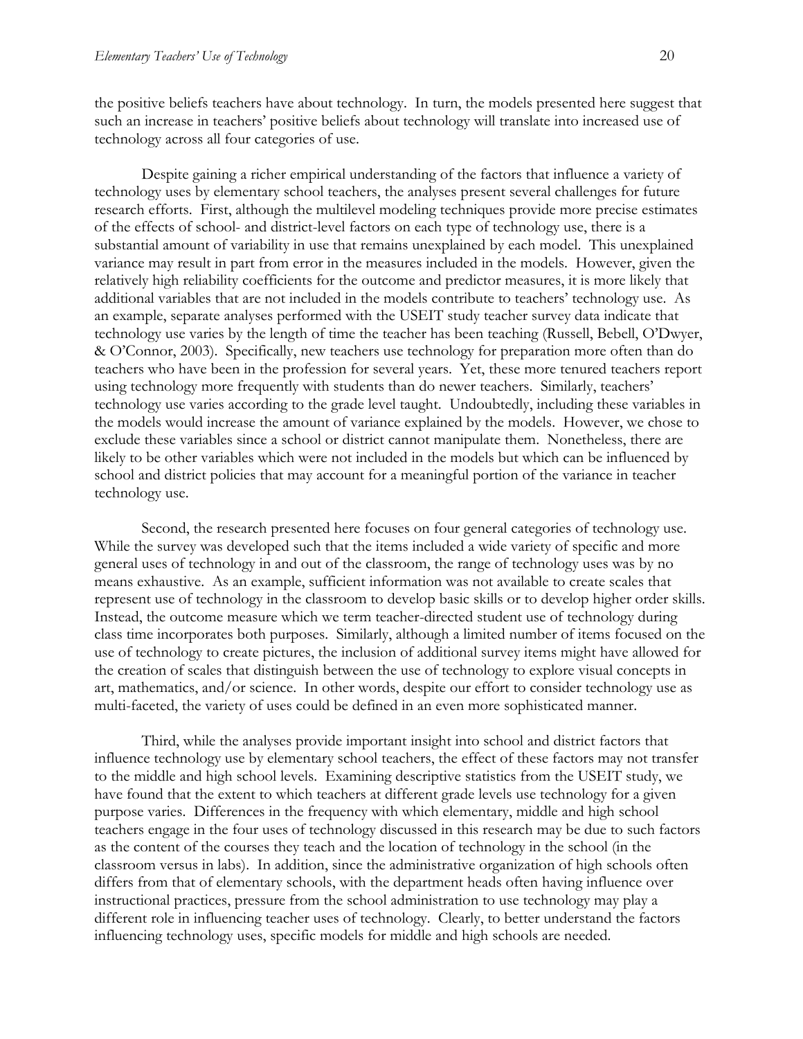the positive beliefs teachers have about technology. In turn, the models presented here suggest that such an increase in teachers' positive beliefs about technology will translate into increased use of technology across all four categories of use.

Despite gaining a richer empirical understanding of the factors that influence a variety of technology uses by elementary school teachers, the analyses present several challenges for future research efforts. First, although the multilevel modeling techniques provide more precise estimates of the effects of school- and district-level factors on each type of technology use, there is a substantial amount of variability in use that remains unexplained by each model. This unexplained variance may result in part from error in the measures included in the models. However, given the relatively high reliability coefficients for the outcome and predictor measures, it is more likely that additional variables that are not included in the models contribute to teachers' technology use. As an example, separate analyses performed with the USEIT study teacher survey data indicate that technology use varies by the length of time the teacher has been teaching (Russell, Bebell, O'Dwyer, & O'Connor, 2003). Specifically, new teachers use technology for preparation more often than do teachers who have been in the profession for several years. Yet, these more tenured teachers report using technology more frequently with students than do newer teachers. Similarly, teachers' technology use varies according to the grade level taught. Undoubtedly, including these variables in the models would increase the amount of variance explained by the models. However, we chose to exclude these variables since a school or district cannot manipulate them. Nonetheless, there are likely to be other variables which were not included in the models but which can be influenced by school and district policies that may account for a meaningful portion of the variance in teacher technology use.

Second, the research presented here focuses on four general categories of technology use. While the survey was developed such that the items included a wide variety of specific and more general uses of technology in and out of the classroom, the range of technology uses was by no means exhaustive. As an example, sufficient information was not available to create scales that represent use of technology in the classroom to develop basic skills or to develop higher order skills. Instead, the outcome measure which we term teacher-directed student use of technology during class time incorporates both purposes. Similarly, although a limited number of items focused on the use of technology to create pictures, the inclusion of additional survey items might have allowed for the creation of scales that distinguish between the use of technology to explore visual concepts in art, mathematics, and/or science. In other words, despite our effort to consider technology use as multi-faceted, the variety of uses could be defined in an even more sophisticated manner.

Third, while the analyses provide important insight into school and district factors that influence technology use by elementary school teachers, the effect of these factors may not transfer to the middle and high school levels. Examining descriptive statistics from the USEIT study, we have found that the extent to which teachers at different grade levels use technology for a given purpose varies. Differences in the frequency with which elementary, middle and high school teachers engage in the four uses of technology discussed in this research may be due to such factors as the content of the courses they teach and the location of technology in the school (in the classroom versus in labs). In addition, since the administrative organization of high schools often differs from that of elementary schools, with the department heads often having influence over instructional practices, pressure from the school administration to use technology may play a different role in influencing teacher uses of technology. Clearly, to better understand the factors influencing technology uses, specific models for middle and high schools are needed.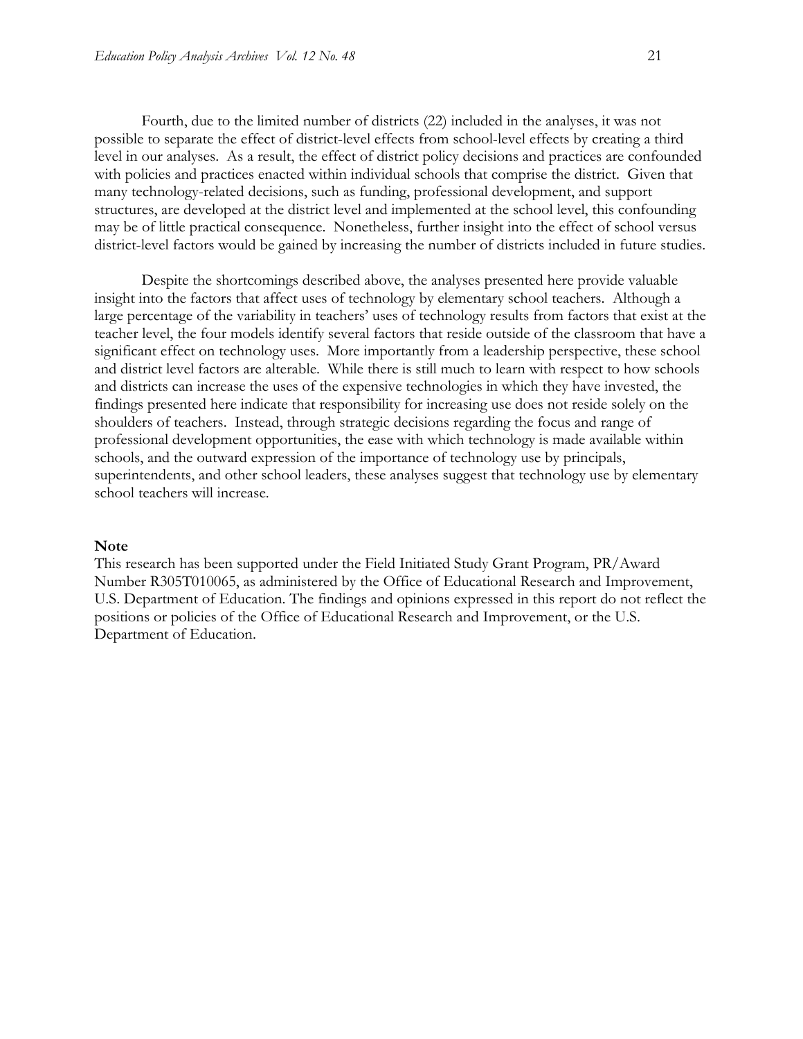Fourth, due to the limited number of districts (22) included in the analyses, it was not possible to separate the effect of district-level effects from school-level effects by creating a third level in our analyses. As a result, the effect of district policy decisions and practices are confounded with policies and practices enacted within individual schools that comprise the district. Given that many technology-related decisions, such as funding, professional development, and support structures, are developed at the district level and implemented at the school level, this confounding may be of little practical consequence. Nonetheless, further insight into the effect of school versus district-level factors would be gained by increasing the number of districts included in future studies.

Despite the shortcomings described above, the analyses presented here provide valuable insight into the factors that affect uses of technology by elementary school teachers. Although a large percentage of the variability in teachers' uses of technology results from factors that exist at the teacher level, the four models identify several factors that reside outside of the classroom that have a significant effect on technology uses. More importantly from a leadership perspective, these school and district level factors are alterable. While there is still much to learn with respect to how schools and districts can increase the uses of the expensive technologies in which they have invested, the findings presented here indicate that responsibility for increasing use does not reside solely on the shoulders of teachers. Instead, through strategic decisions regarding the focus and range of professional development opportunities, the ease with which technology is made available within schools, and the outward expression of the importance of technology use by principals, superintendents, and other school leaders, these analyses suggest that technology use by elementary school teachers will increase.

#### **Note**

This research has been supported under the Field Initiated Study Grant Program, PR/Award Number R305T010065, as administered by the Office of Educational Research and Improvement, U.S. Department of Education. The findings and opinions expressed in this report do not reflect the positions or policies of the Office of Educational Research and Improvement, or the U.S. Department of Education.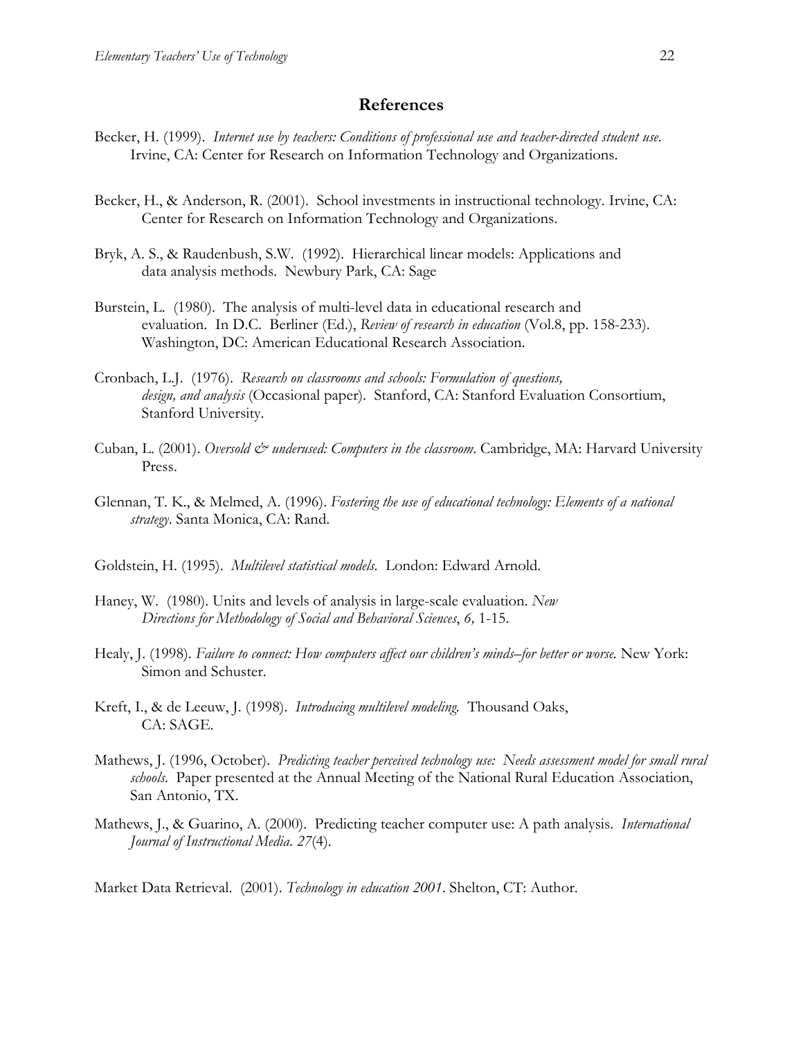#### **References**

- Becker, H. (1999). *Internet use by teachers: Conditions of professional use and teacher-directed student use*. Irvine, CA: Center for Research on Information Technology and Organizations.
- Becker, H., & Anderson, R. (2001). School investments in instructional technology. Irvine, CA: Center for Research on Information Technology and Organizations.
- Bryk, A. S., & Raudenbush, S.W. (1992). Hierarchical linear models: Applications and data analysis methods. Newbury Park, CA: Sage
- Burstein, L. (1980). The analysis of multi-level data in educational research and evaluation. In D.C. Berliner (Ed.), *Review of research in education* (Vol.8, pp. 158-233). Washington, DC: American Educational Research Association.
- Cronbach, L.J. (1976). *Research on classrooms and schools: Formulation of questions, design, and analysis* (Occasional paper). Stanford, CA: Stanford Evaluation Consortium, Stanford University.
- Cuban, L. (2001). *Oversold & underused: Computers in the classroom*. Cambridge, MA: Harvard University Press.
- Glennan, T. K., & Melmed, A. (1996). *Fostering the use of educational technology: Elements of a national strategy*. Santa Monica, CA: Rand.
- Goldstein, H. (1995). *Multilevel statistical models*. London: Edward Arnold.
- Haney, W. (1980). Units and levels of analysis in large-scale evaluation. *New Directions for Methodology of Social and Behavioral Sciences*, *6,* 1-15.
- Healy, J. (1998). *Failure to connect: How computers affect our children's minds–for better or worse.* New York: Simon and Schuster.
- Kreft, I., & de Leeuw, J. (1998). *Introducing multilevel modeling.* Thousand Oaks, CA: SAGE.
- Mathews, J. (1996, October). *Predicting teacher perceived technology use: Needs assessment model for small rural schools*. Paper presented at the Annual Meeting of the National Rural Education Association, San Antonio, TX.
- Mathews, J., & Guarino, A. (2000). Predicting teacher computer use: A path analysis. *International Journal of Instructional Media*. *27*(4).

Market Data Retrieval. (2001). *Technology in education 2001*. Shelton, CT: Author.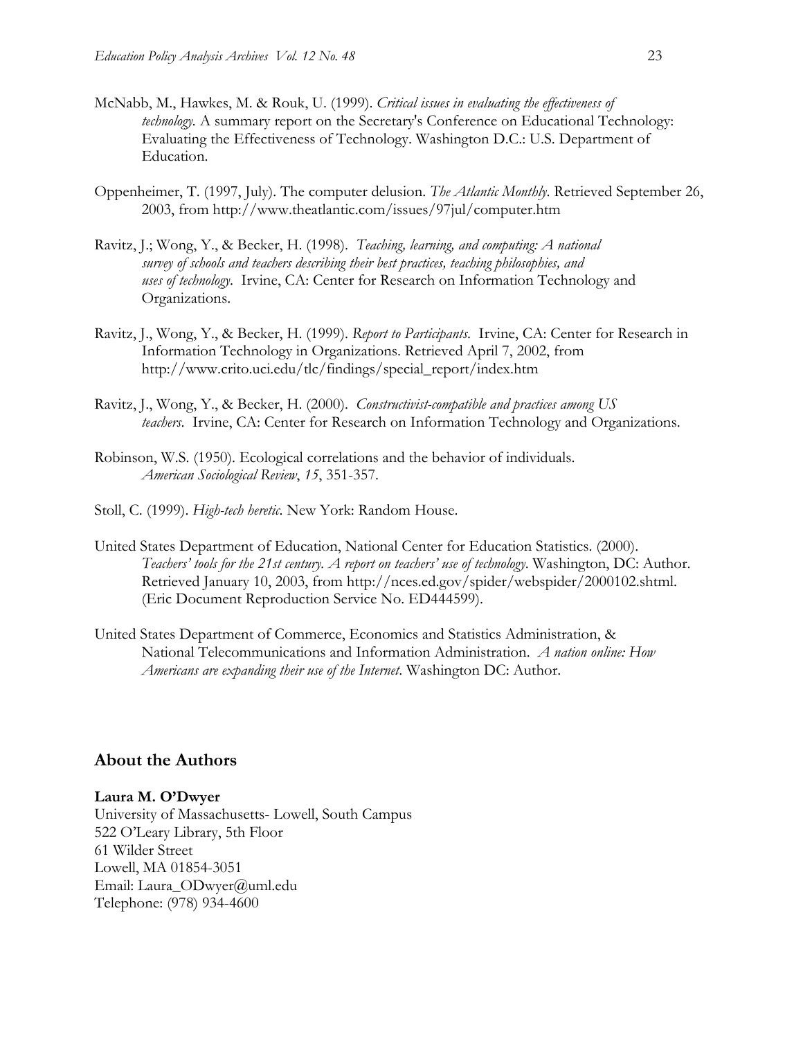- McNabb, M., Hawkes, M. & Rouk, U. (1999). *Critical issues in evaluating the effectiveness of technology*. A summary report on the Secretary's Conference on Educational Technology: Evaluating the Effectiveness of Technology. Washington D.C.: U.S. Department of Education.
- Oppenheimer, T. (1997, July). The computer delusion. *The Atlantic Monthly*. Retrieved September 26, 2003, from http://www.theatlantic.com/issues/97jul/computer.htm
- Ravitz, J.; Wong, Y., & Becker, H. (1998). *Teaching, learning, and computing: A national survey of schools and teachers describing their best practices, teaching philosophies, and uses of technology*. Irvine, CA: Center for Research on Information Technology and Organizations.
- Ravitz, J., Wong, Y., & Becker, H. (1999). *Report to Participants*.Irvine, CA: Center for Research in Information Technology in Organizations. Retrieved April 7, 2002, from http://www.crito.uci.edu/tlc/findings/special\_report/index.htm
- Ravitz, J., Wong, Y., & Becker, H. (2000). *Constructivist-compatible and practices among US teachers*. Irvine, CA: Center for Research on Information Technology and Organizations.
- Robinson, W.S. (1950). Ecological correlations and the behavior of individuals. *American Sociological Review*, *15*, 351-357.
- Stoll, C. (1999). *High-tech heretic*. New York: Random House.
- United States Department of Education, National Center for Education Statistics. (2000). *Teachers' tools for the 21st century. A report on teachers' use of technology*. Washington, DC: Author. Retrieved January 10, 2003, from http://nces.ed.gov/spider/webspider/2000102.shtml. (Eric Document Reproduction Service No. ED444599).
- United States Department of Commerce, Economics and Statistics Administration, & National Telecommunications and Information Administration. *A nation online: How Americans are expanding their use of the Internet*. Washington DC: Author.

#### **About the Authors**

#### **Laura M. O'Dwyer**

University of Massachusetts- Lowell, South Campus 522 O'Leary Library, 5th Floor 61 Wilder Street Lowell, MA 01854-3051 Email: Laura\_ODwyer@uml.edu Telephone: (978) 934-4600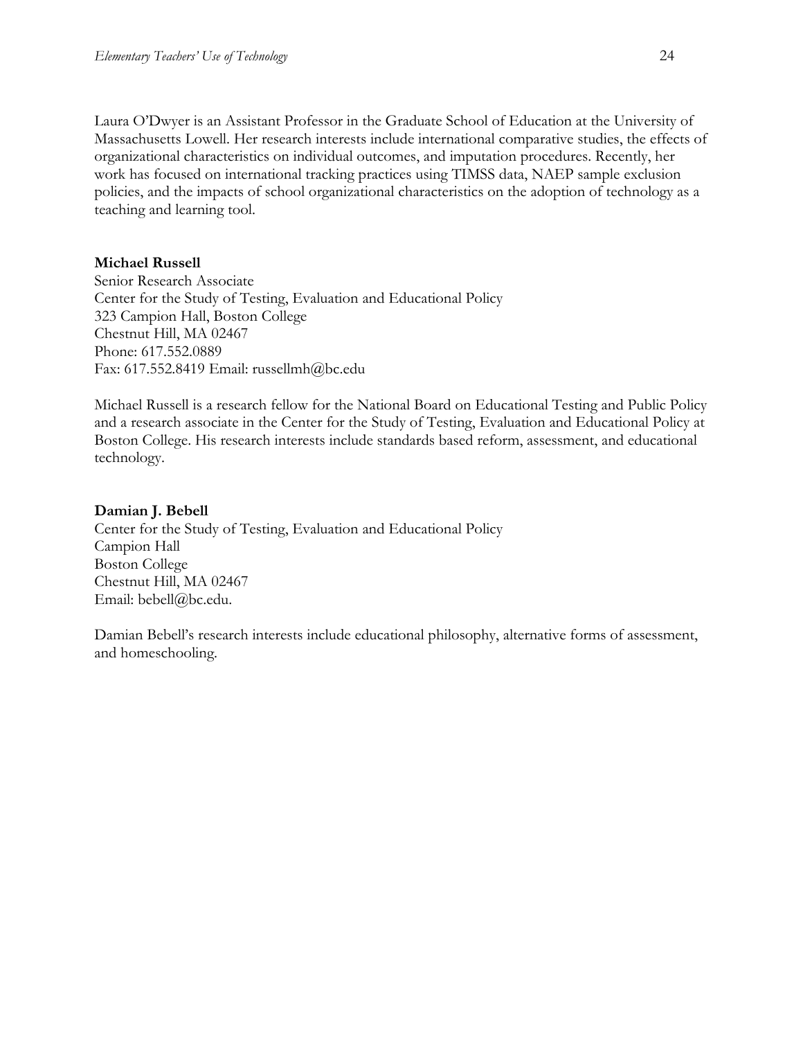Laura O'Dwyer is an Assistant Professor in the Graduate School of Education at the University of Massachusetts Lowell. Her research interests include international comparative studies, the effects of organizational characteristics on individual outcomes, and imputation procedures. Recently, her work has focused on international tracking practices using TIMSS data, NAEP sample exclusion policies, and the impacts of school organizational characteristics on the adoption of technology as a teaching and learning tool.

#### **Michael Russell**

Senior Research Associate Center for the Study of Testing, Evaluation and Educational Policy 323 Campion Hall, Boston College Chestnut Hill, MA 02467 Phone: 617.552.0889 Fax: 617.552.8419 Email: russellmh@bc.edu

Michael Russell is a research fellow for the National Board on Educational Testing and Public Policy and a research associate in the Center for the Study of Testing, Evaluation and Educational Policy at Boston College. His research interests include standards based reform, assessment, and educational technology.

#### **Damian J. Bebell**

Center for the Study of Testing, Evaluation and Educational Policy Campion Hall Boston College Chestnut Hill, MA 02467 Email: bebell@bc.edu.

Damian Bebell's research interests include educational philosophy, alternative forms of assessment, and homeschooling.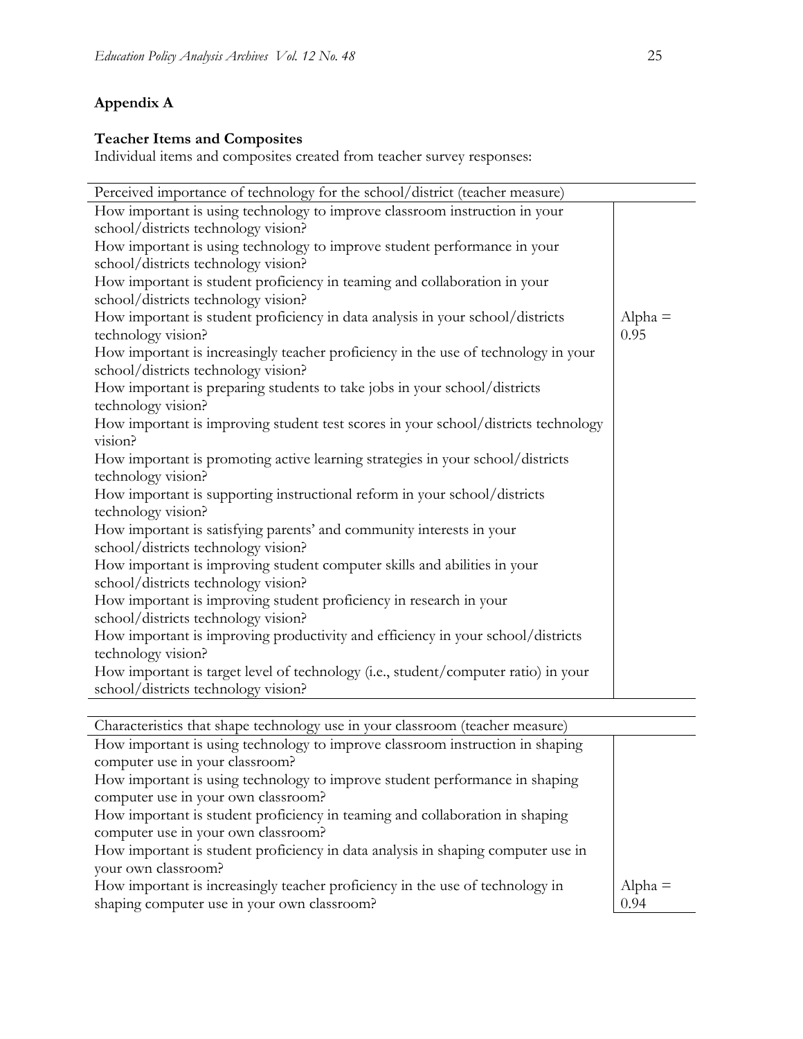## **Appendix A**

## **Teacher Items and Composites**

Individual items and composites created from teacher survey responses:

| Perceived importance of technology for the school/district (teacher measure)       |           |
|------------------------------------------------------------------------------------|-----------|
| How important is using technology to improve classroom instruction in your         |           |
| school/districts technology vision?                                                |           |
| How important is using technology to improve student performance in your           |           |
| school/districts technology vision?                                                |           |
| How important is student proficiency in teaming and collaboration in your          |           |
| school/districts technology vision?                                                |           |
| How important is student proficiency in data analysis in your school/districts     | $Alpha =$ |
| technology vision?                                                                 | 0.95      |
| How important is increasingly teacher proficiency in the use of technology in your |           |
| school/districts technology vision?                                                |           |
| How important is preparing students to take jobs in your school/districts          |           |
| technology vision?                                                                 |           |
| How important is improving student test scores in your school/districts technology |           |
| vision?                                                                            |           |
| How important is promoting active learning strategies in your school/districts     |           |
| technology vision?                                                                 |           |
| How important is supporting instructional reform in your school/districts          |           |
| technology vision?                                                                 |           |
| How important is satisfying parents' and community interests in your               |           |
| school/districts technology vision?                                                |           |
| How important is improving student computer skills and abilities in your           |           |
| school/districts technology vision?                                                |           |
| How important is improving student proficiency in research in your                 |           |
| school/districts technology vision?                                                |           |
| How important is improving productivity and efficiency in your school/districts    |           |
| technology vision?                                                                 |           |
| How important is target level of technology (i.e., student/computer ratio) in your |           |
| school/districts technology vision?                                                |           |

| Characteristics that shape technology use in your classroom (teacher measure)              |  |
|--------------------------------------------------------------------------------------------|--|
| How important is using technology to improve classroom instruction in shaping              |  |
| computer use in your classroom?                                                            |  |
| How important is using technology to improve student performance in shaping                |  |
| computer use in your own classroom?                                                        |  |
| How important is student proficiency in teaming and collaboration in shaping               |  |
| computer use in your own classroom?                                                        |  |
| How important is student proficiency in data analysis in shaping computer use in           |  |
| your own classroom?                                                                        |  |
| How important is increasingly teacher proficiency in the use of technology in<br>$Alpha =$ |  |
| shaping computer use in your own classroom?<br>0.94                                        |  |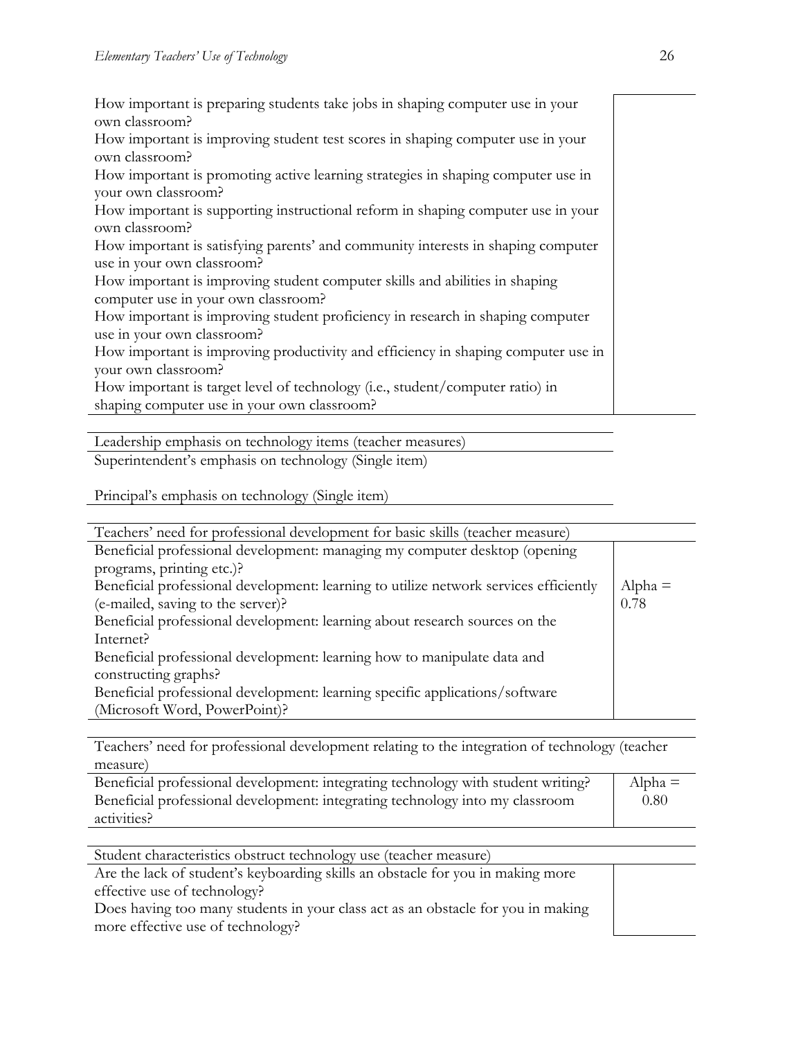How important is preparing students take jobs in shaping computer use in your own classroom?

How important is improving student test scores in shaping computer use in your own classroom?

How important is promoting active learning strategies in shaping computer use in your own classroom?

How important is supporting instructional reform in shaping computer use in your own classroom?

How important is satisfying parents' and community interests in shaping computer use in your own classroom?

How important is improving student computer skills and abilities in shaping computer use in your own classroom?

How important is improving student proficiency in research in shaping computer use in your own classroom?

How important is improving productivity and efficiency in shaping computer use in your own classroom?

How important is target level of technology (i.e., student/computer ratio) in shaping computer use in your own classroom?

Leadership emphasis on technology items (teacher measures)

Superintendent's emphasis on technology (Single item)

Principal's emphasis on technology (Single item)

| Teachers' need for professional development for basic skills (teacher measure)        |           |
|---------------------------------------------------------------------------------------|-----------|
| Beneficial professional development: managing my computer desktop (opening            |           |
| programs, printing etc.)?                                                             |           |
| Beneficial professional development: learning to utilize network services efficiently | $Alpha =$ |
| (e-mailed, saving to the server)?                                                     | 0.78      |
| Beneficial professional development: learning about research sources on the           |           |
| Internet?                                                                             |           |
| Beneficial professional development: learning how to manipulate data and              |           |
| constructing graphs?                                                                  |           |
| Beneficial professional development: learning specific applications/software          |           |
| (Microsoft Word, PowerPoint)?                                                         |           |

Teachers' need for professional development relating to the integration of technology (teacher measure)

| Beneficial professional development: integrating technology with student writing? | $Alpha =$ |
|-----------------------------------------------------------------------------------|-----------|
| Beneficial professional development: integrating technology into my classroom     | 0.80      |
| activities?                                                                       |           |

Student characteristics obstruct technology use (teacher measure)

Are the lack of student's keyboarding skills an obstacle for you in making more effective use of technology?

Does having too many students in your class act as an obstacle for you in making more effective use of technology?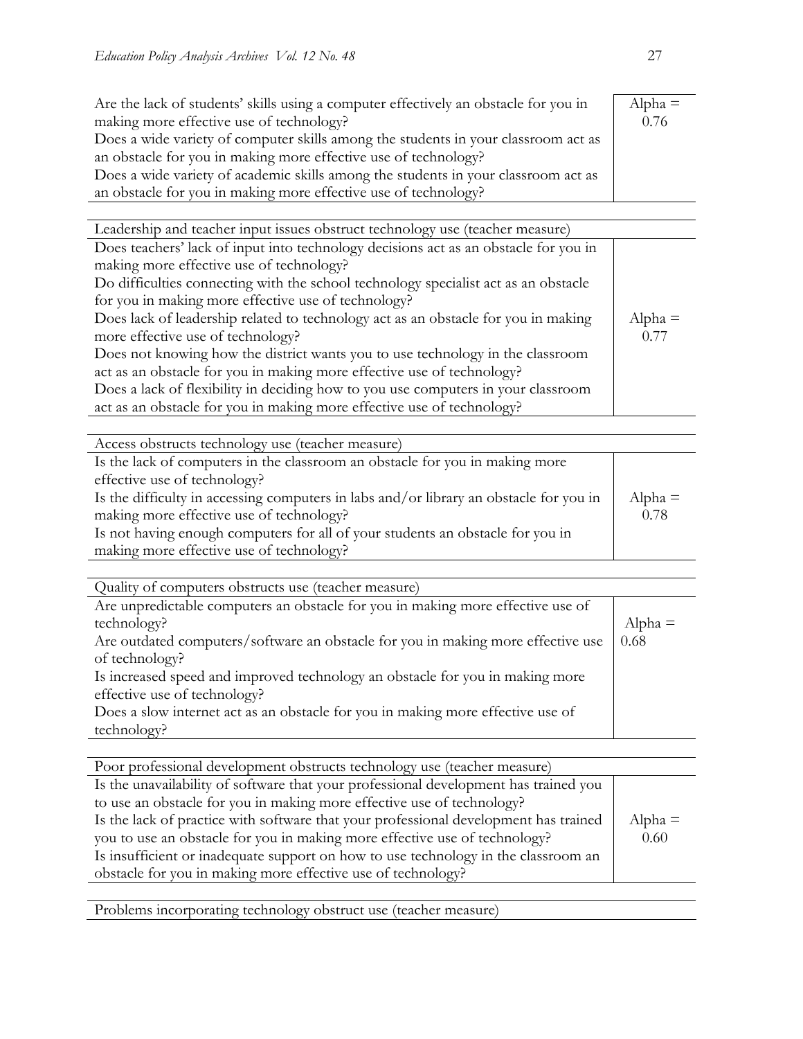| Are the lack of students' skills using a computer effectively an obstacle for you in | $Alpha =$ |
|--------------------------------------------------------------------------------------|-----------|
| making more effective use of technology?                                             | 0.76      |
| Does a wide variety of computer skills among the students in your classroom act as   |           |
| an obstacle for you in making more effective use of technology?                      |           |
| Does a wide variety of academic skills among the students in your classroom act as   |           |
| an obstacle for you in making more effective use of technology?                      |           |

| Leadership and teacher input issues obstruct technology use (teacher measure)        |           |
|--------------------------------------------------------------------------------------|-----------|
| Does teachers' lack of input into technology decisions act as an obstacle for you in |           |
| making more effective use of technology?                                             |           |
| Do difficulties connecting with the school technology specialist act as an obstacle  |           |
| for you in making more effective use of technology?                                  |           |
| Does lack of leadership related to technology act as an obstacle for you in making   | $Alpha =$ |
| more effective use of technology?                                                    | 0.77      |
| Does not knowing how the district wants you to use technology in the classroom       |           |
| act as an obstacle for you in making more effective use of technology?               |           |
| Does a lack of flexibility in deciding how to you use computers in your classroom    |           |
| act as an obstacle for you in making more effective use of technology?               |           |
|                                                                                      |           |

| Access obstructs technology use (teacher measure)                                      |           |
|----------------------------------------------------------------------------------------|-----------|
| Is the lack of computers in the classroom an obstacle for you in making more           |           |
| effective use of technology?                                                           |           |
| Is the difficulty in accessing computers in labs and/or library an obstacle for you in | $Alpha =$ |
| making more effective use of technology?                                               | 0.78      |
| Is not having enough computers for all of your students an obstacle for you in         |           |
| making more effective use of technology?                                               |           |

Quality of computers obstructs use (teacher measure)

| Are unpredictable computers an obstacle for you in making more effective use of  |           |
|----------------------------------------------------------------------------------|-----------|
| technology?                                                                      | $Alpha =$ |
| Are outdated computers/software an obstacle for you in making more effective use | 0.68      |
| of technology?                                                                   |           |
| Is increased speed and improved technology an obstacle for you in making more    |           |
| effective use of technology?                                                     |           |
| Does a slow internet act as an obstacle for you in making more effective use of  |           |
| technology?                                                                      |           |
|                                                                                  |           |

| Poor professional development obstructs technology use (teacher measure)             |           |
|--------------------------------------------------------------------------------------|-----------|
| Is the unavailability of software that your professional development has trained you |           |
| to use an obstacle for you in making more effective use of technology?               |           |
| Is the lack of practice with software that your professional development has trained | $Alpha =$ |
| you to use an obstacle for you in making more effective use of technology?           | 0.60      |
| Is insufficient or inadequate support on how to use technology in the classroom an   |           |
| obstacle for you in making more effective use of technology?                         |           |
|                                                                                      |           |

Problems incorporating technology obstruct use (teacher measure)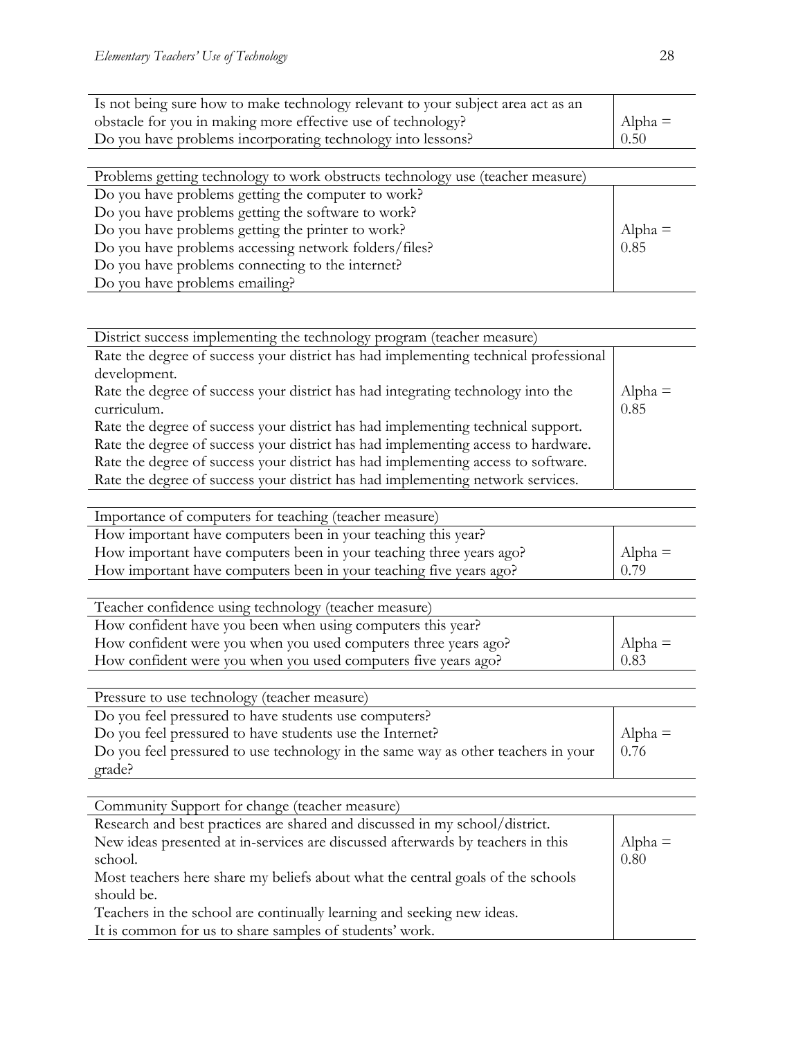| $\Delta$ lpha = |
|-----------------|
| 0.50            |
|                 |

| Problems getting technology to work obstructs technology use (teacher measure) |           |
|--------------------------------------------------------------------------------|-----------|
| Do you have problems getting the computer to work?                             |           |
| Do you have problems getting the software to work?                             |           |
| Do you have problems getting the printer to work?                              | Alpha $=$ |
| Do you have problems accessing network folders/files?                          | 0.85      |
| Do you have problems connecting to the internet?                               |           |
| Do you have problems emailing?                                                 |           |

| District success implementing the technology program (teacher measure)               |           |
|--------------------------------------------------------------------------------------|-----------|
| Rate the degree of success your district has had implementing technical professional |           |
| development.                                                                         |           |
| Rate the degree of success your district has had integrating technology into the     | $Alpha =$ |
| curriculum.                                                                          | 0.85      |
| Rate the degree of success your district has had implementing technical support.     |           |
| Rate the degree of success your district has had implementing access to hardware.    |           |
| Rate the degree of success your district has had implementing access to software.    |           |
| Rate the degree of success your district has had implementing network services.      |           |
|                                                                                      |           |
| Importance of computers for teaching (teacher measure)                               |           |
|                                                                                      |           |

| How important have computers been in your teaching this year?       |                 |
|---------------------------------------------------------------------|-----------------|
| How important have computers been in your teaching three years ago? | $\Delta$ lpha = |
| How important have computers been in your teaching five years ago?  | 0.79            |

| Teacher confidence using technology (teacher measure)           |           |
|-----------------------------------------------------------------|-----------|
| How confident have you been when using computers this year?     |           |
| How confident were you when you used computers three years ago? | Alpha $=$ |
| How confident were you when you used computers five years ago?  | 0.83      |

| Pressure to use technology (teacher measure)                                      |           |
|-----------------------------------------------------------------------------------|-----------|
|                                                                                   |           |
| Do you feel pressured to have students use computers?                             |           |
| Do you feel pressured to have students use the Internet?                          | Alpha $=$ |
| Do you feel pressured to use technology in the same way as other teachers in your | 0.76      |
| grade?                                                                            |           |

| Community Support for change (teacher measure)                                  |           |
|---------------------------------------------------------------------------------|-----------|
| Research and best practices are shared and discussed in my school/district.     |           |
| New ideas presented at in-services are discussed afterwards by teachers in this | $Alpha =$ |
| school.                                                                         | 0.80      |
| Most teachers here share my beliefs about what the central goals of the schools |           |
| should be.                                                                      |           |
| Teachers in the school are continually learning and seeking new ideas.          |           |
| It is common for us to share samples of students' work.                         |           |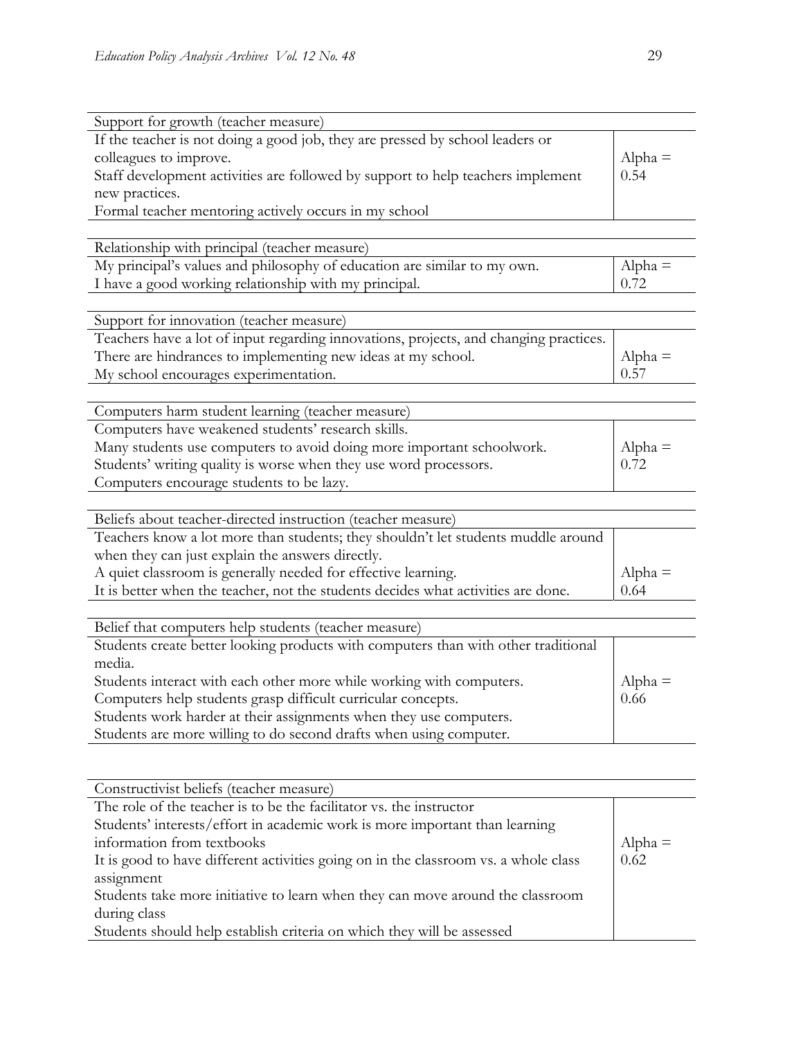| Support for growth (teacher measure)                                                  |           |
|---------------------------------------------------------------------------------------|-----------|
| If the teacher is not doing a good job, they are pressed by school leaders or         |           |
| colleagues to improve.                                                                | $Alpha =$ |
| Staff development activities are followed by support to help teachers implement       | 0.54      |
| new practices.                                                                        |           |
| Formal teacher mentoring actively occurs in my school                                 |           |
|                                                                                       |           |
| Relationship with principal (teacher measure)                                         |           |
| My principal's values and philosophy of education are similar to my own.              | $Alpha =$ |
| I have a good working relationship with my principal.                                 | 0.72      |
|                                                                                       |           |
| Support for innovation (teacher measure)                                              |           |
| Teachers have a lot of input regarding innovations, projects, and changing practices. |           |
| There are hindrances to implementing new ideas at my school.                          | $Alpha =$ |
| My school encourages experimentation.                                                 | 0.57      |
|                                                                                       |           |
| Computers harm student learning (teacher measure)                                     |           |
| Computers have weakened students' research skills.                                    |           |
| Many students use computers to avoid doing more important schoolwork.                 | $Alpha =$ |
| Students' writing quality is worse when they use word processors.                     | 0.72      |
| Computers encourage students to be lazy.                                              |           |
|                                                                                       |           |
| Beliefs about teacher-directed instruction (teacher measure)                          |           |
| Teachers know a lot more than students; they shouldn't let students muddle around     |           |
| when they can just explain the answers directly.                                      |           |
| A quiet classroom is generally needed for effective learning.                         | $Alpha =$ |
| It is better when the teacher, not the students decides what activities are done.     | 0.64      |
|                                                                                       |           |
| Belief that computers help students (teacher measure)                                 |           |
| Students create better looking products with computers than with other traditional    |           |
| media.                                                                                |           |
| Students interact with each other more while working with computers.                  | $Alpha =$ |
| Computers help students grasp difficult curricular concepts.                          | 0.66      |
| Students work harder at their assignments when they use computers.                    |           |
| Students are more willing to do second drafts when using computer.                    |           |
|                                                                                       |           |

| Constructivist beliefs (teacher measure)                                            |           |
|-------------------------------------------------------------------------------------|-----------|
| The role of the teacher is to be the facilitator vs. the instructor                 |           |
| Students' interests/effort in academic work is more important than learning         |           |
| information from textbooks                                                          | $Alpha =$ |
| It is good to have different activities going on in the classroom vs. a whole class | 0.62      |
| assignment                                                                          |           |
| Students take more initiative to learn when they can move around the classroom      |           |
| during class                                                                        |           |
| Students should help establish criteria on which they will be assessed              |           |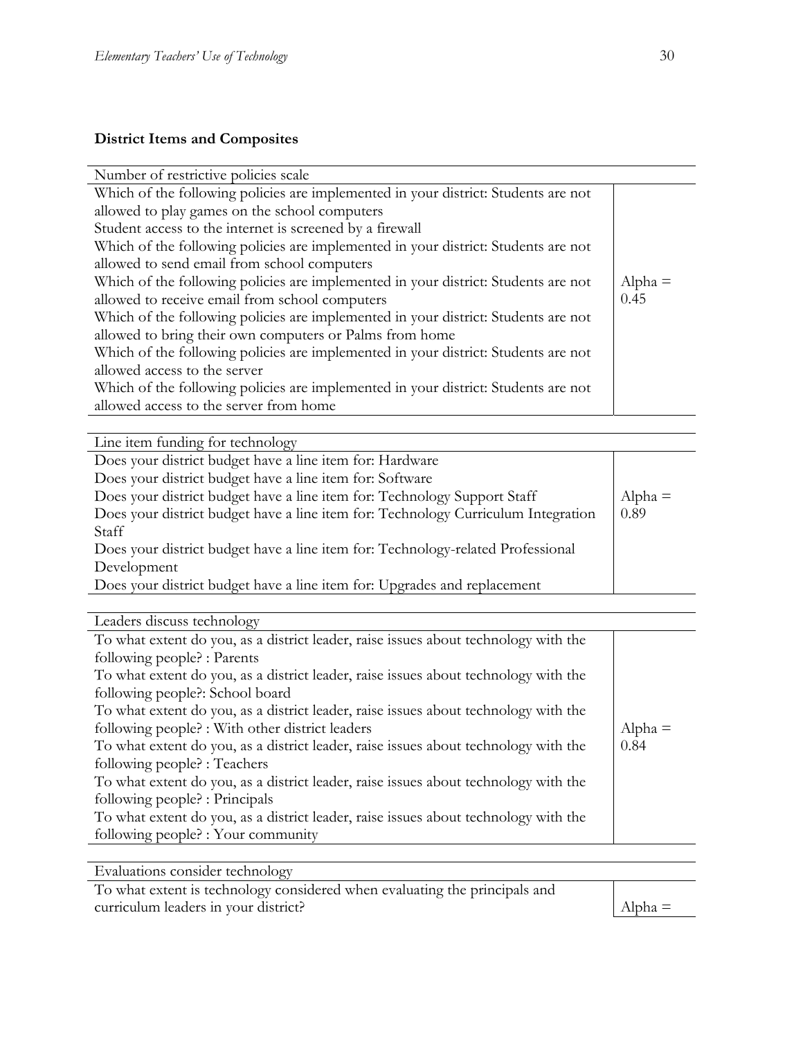## **District Items and Composites**

| Number of restrictive policies scale                                               |           |
|------------------------------------------------------------------------------------|-----------|
| Which of the following policies are implemented in your district: Students are not |           |
| allowed to play games on the school computers                                      |           |
| Student access to the internet is screened by a firewall                           |           |
| Which of the following policies are implemented in your district: Students are not |           |
| allowed to send email from school computers                                        |           |
| Which of the following policies are implemented in your district: Students are not | $Alpha =$ |
| allowed to receive email from school computers                                     | 0.45      |
| Which of the following policies are implemented in your district: Students are not |           |
| allowed to bring their own computers or Palms from home                            |           |
| Which of the following policies are implemented in your district: Students are not |           |
| allowed access to the server                                                       |           |
| Which of the following policies are implemented in your district: Students are not |           |
| allowed access to the server from home                                             |           |
|                                                                                    |           |

|  |  | Line item funding for technology |
|--|--|----------------------------------|
|  |  |                                  |

| Does your district budget have a line item for: Hardware                          |           |
|-----------------------------------------------------------------------------------|-----------|
| Does your district budget have a line item for: Software                          |           |
| Does your district budget have a line item for: Technology Support Staff          | $Alpha =$ |
| Does your district budget have a line item for: Technology Curriculum Integration | 0.89      |
| Staff                                                                             |           |
| Does your district budget have a line item for: Technology-related Professional   |           |
| Development                                                                       |           |
| Does your district budget have a line item for: Upgrades and replacement          |           |
|                                                                                   |           |

Leaders discuss technology

| To what extent do you, as a district leader, raise issues about technology with the |           |
|-------------------------------------------------------------------------------------|-----------|
| following people? : Parents                                                         |           |
| To what extent do you, as a district leader, raise issues about technology with the |           |
| following people?: School board                                                     |           |
| To what extent do you, as a district leader, raise issues about technology with the |           |
| following people? : With other district leaders                                     | $Alpha =$ |
| To what extent do you, as a district leader, raise issues about technology with the | 0.84      |
| following people? : Teachers                                                        |           |
| To what extent do you, as a district leader, raise issues about technology with the |           |
| following people? : Principals                                                      |           |
| To what extent do you, as a district leader, raise issues about technology with the |           |
| following people? : Your community                                                  |           |

Evaluations consider technology

To what extent is technology considered when evaluating the principals and curriculum leaders in your district?  $\Delta l_{pha} =$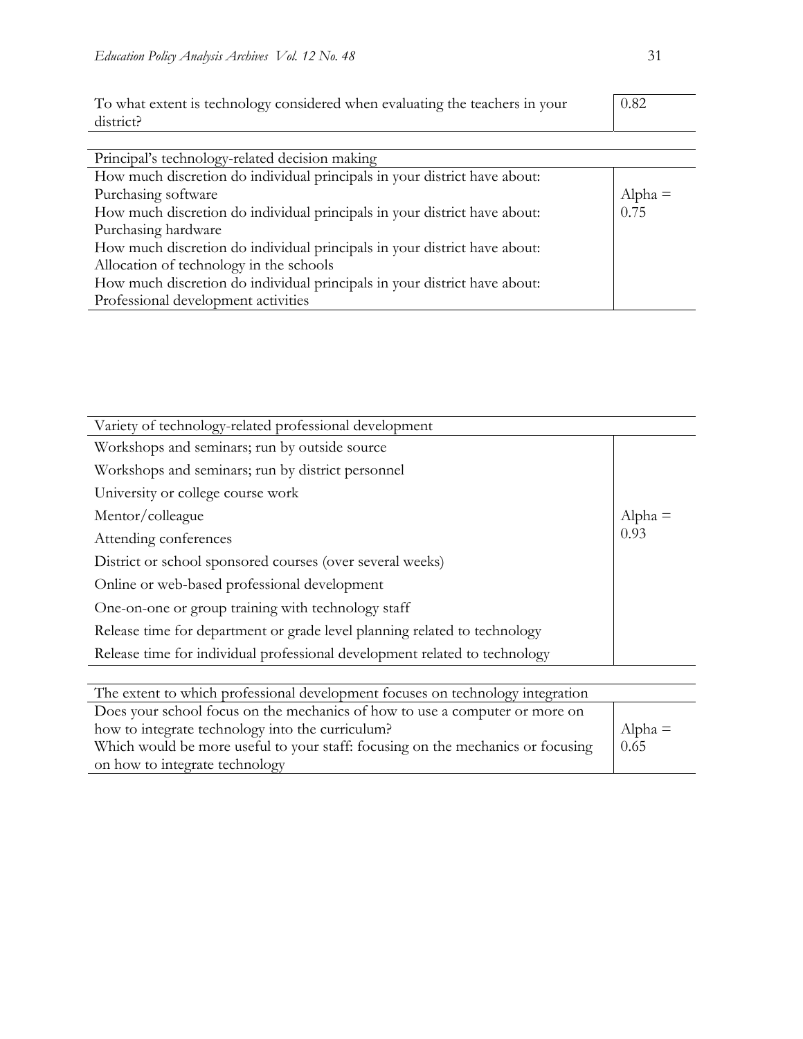| To what extent is technology considered when evaluating the teachers in your<br>district? | 0.82      |
|-------------------------------------------------------------------------------------------|-----------|
| Principal's technology-related decision making                                            |           |
| How much discretion do individual principals in your district have about:                 |           |
| Purchasing software                                                                       | $Alpha =$ |
| How much discretion do individual principals in your district have about:                 | 0.75      |
| Purchasing hardware                                                                       |           |
| How much discretion do individual principals in your district have about:                 |           |
| Allocation of technology in the schools                                                   |           |
| How much discretion do individual principals in your district have about:                 |           |
| Professional development activities                                                       |           |

| Variety of technology-related professional development                     |           |
|----------------------------------------------------------------------------|-----------|
| Workshops and seminars; run by outside source                              |           |
| Workshops and seminars; run by district personnel                          |           |
| University or college course work                                          |           |
| Mentor/colleague                                                           | $Alpha =$ |
| Attending conferences                                                      | 0.93      |
| District or school sponsored courses (over several weeks)                  |           |
| Online or web-based professional development                               |           |
| One-on-one or group training with technology staff                         |           |
| Release time for department or grade level planning related to technology  |           |
| Release time for individual professional development related to technology |           |
|                                                                            |           |

| The extent to which professional development focuses on technology integration  |           |
|---------------------------------------------------------------------------------|-----------|
| Does your school focus on the mechanics of how to use a computer or more on     |           |
| how to integrate technology into the curriculum?                                | $Alpha =$ |
| Which would be more useful to your staff: focusing on the mechanics or focusing | 0.65      |
| on how to integrate technology                                                  |           |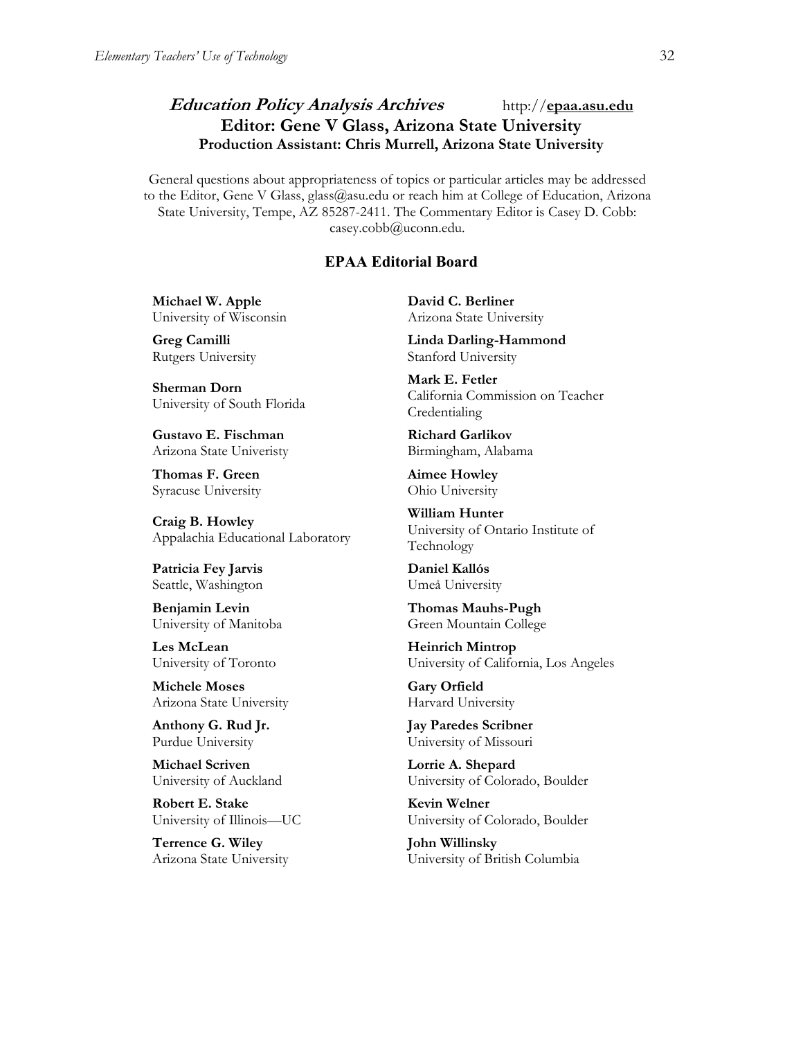## **Education Policy Analysis Archives** http://**epaa.asu.edu Editor: Gene V Glass, Arizona State University Production Assistant: Chris Murrell, Arizona State University**

General questions about appropriateness of topics or particular articles may be addressed to the Editor, Gene V Glass, glass@asu.edu or reach him at College of Education, Arizona State University, Tempe, AZ 85287-2411. The Commentary Editor is Casey D. Cobb: casey.cobb@uconn.edu.

#### **EPAA Editorial Board**

**Michael W. Apple** University of Wisconsin

**Greg Camilli** Rutgers University

**Sherman Dorn** University of South Florida

**Gustavo E. Fischman** Arizona State Univeristy

**Thomas F. Green** Syracuse University

**Craig B. Howley** Appalachia Educational Laboratory

**Patricia Fey Jarvis**  Seattle, Washington

**Benjamin Levin** University of Manitoba

**Les McLean** University of Toronto

**Michele Moses** Arizona State University

**Anthony G. Rud Jr.** Purdue University

**Michael Scriven** University of Auckland

**Robert E. Stake**  University of Illinois—UC

**Terrence G. Wiley** Arizona State University **David C. Berliner**  Arizona State University

**Linda Darling-Hammond**  Stanford University

**Mark E. Fetler** California Commission on Teacher Credentialing

**Richard Garlikov** Birmingham, Alabama

**Aimee Howley** Ohio University

**William Hunter** University of Ontario Institute of Technology

**Daniel Kallós** Umeå University

**Thomas Mauhs-Pugh** Green Mountain College

**Heinrich Mintrop**  University of California, Los Angeles

**Gary Orfield** Harvard University

**Jay Paredes Scribner** University of Missouri

**Lorrie A. Shepard** University of Colorado, Boulder

**Kevin Welner** University of Colorado, Boulder

**John Willinsky** University of British Columbia